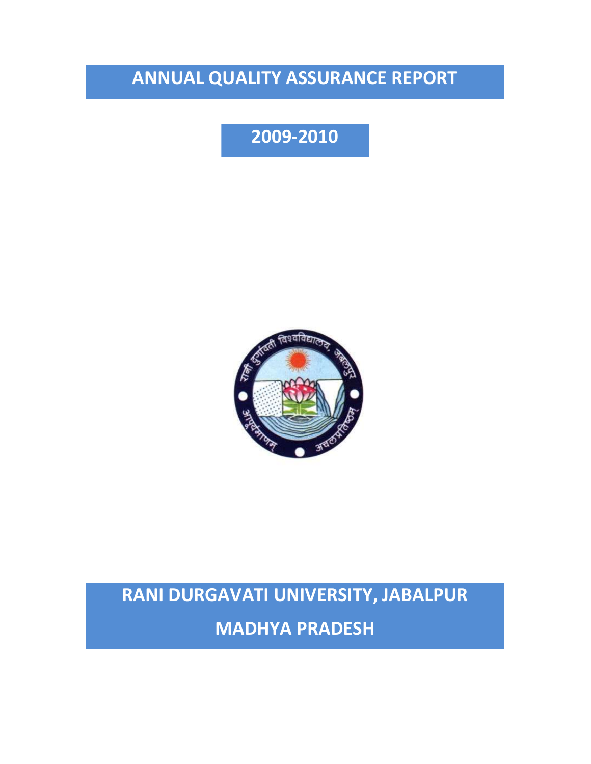# **ANNUAL QUALITY ASSURANCE REPORT**

# **2009-2010**



# **RANI DURGAVATI UNIVERSITY, JABALPUR**

**MADHYA PRADESH**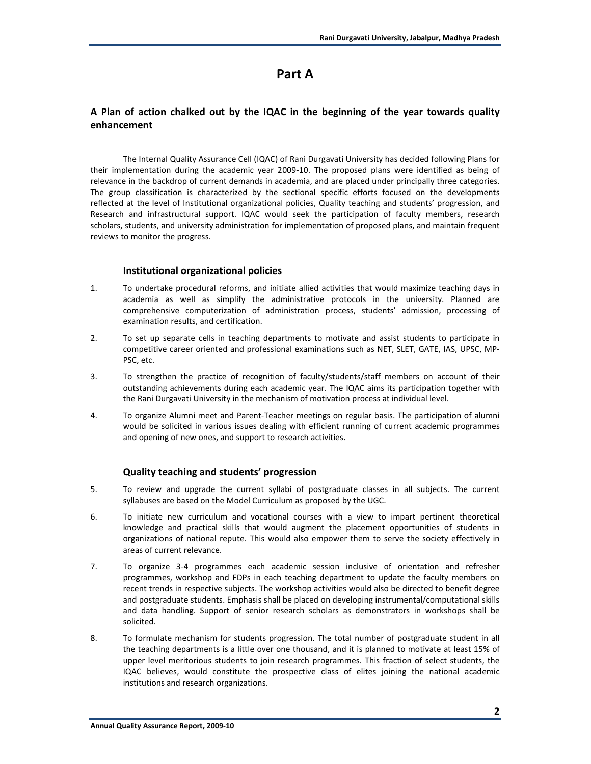## **Part A**

## **A Plan of action chalked out by the IQAC in the beginning of the year towards quality enhancement**

The Internal Quality Assurance Cell (IQAC) of Rani Durgavati University has decided following Plans for their implementation during the academic year 2009-10. The proposed plans were identified as being of relevance in the backdrop of current demands in academia, and are placed under principally three categories. The group classification is characterized by the sectional specific efforts focused on the developments reflected at the level of Institutional organizational policies, Quality teaching and students' progression, and Research and infrastructural support. IQAC would seek the participation of faculty members, research scholars, students, and university administration for implementation of proposed plans, and maintain frequent reviews to monitor the progress.

#### **Institutional organizational policies**

- 1. To undertake procedural reforms, and initiate allied activities that would maximize teaching days in academia as well as simplify the administrative protocols in the university. Planned are comprehensive computerization of administration process, students' admission, processing of examination results, and certification.
- 2. To set up separate cells in teaching departments to motivate and assist students to participate in competitive career oriented and professional examinations such as NET, SLET, GATE, IAS, UPSC, MP-PSC, etc.
- 3. To strengthen the practice of recognition of faculty/students/staff members on account of their outstanding achievements during each academic year. The IQAC aims its participation together with the Rani Durgavati University in the mechanism of motivation process at individual level.
- 4. To organize Alumni meet and Parent-Teacher meetings on regular basis. The participation of alumni would be solicited in various issues dealing with efficient running of current academic programmes and opening of new ones, and support to research activities.

## **Quality teaching and students' progression**

- 5. To review and upgrade the current syllabi of postgraduate classes in all subjects. The current syllabuses are based on the Model Curriculum as proposed by the UGC.
- 6. To initiate new curriculum and vocational courses with a view to impart pertinent theoretical knowledge and practical skills that would augment the placement opportunities of students in organizations of national repute. This would also empower them to serve the society effectively in areas of current relevance.
- 7. To organize 3-4 programmes each academic session inclusive of orientation and refresher programmes, workshop and FDPs in each teaching department to update the faculty members on recent trends in respective subjects. The workshop activities would also be directed to benefit degree and postgraduate students. Emphasis shall be placed on developing instrumental/computational skills and data handling. Support of senior research scholars as demonstrators in workshops shall be solicited.
- 8. To formulate mechanism for students progression. The total number of postgraduate student in all the teaching departments is a little over one thousand, and it is planned to motivate at least 15% of upper level meritorious students to join research programmes. This fraction of select students, the IQAC believes, would constitute the prospective class of elites joining the national academic institutions and research organizations.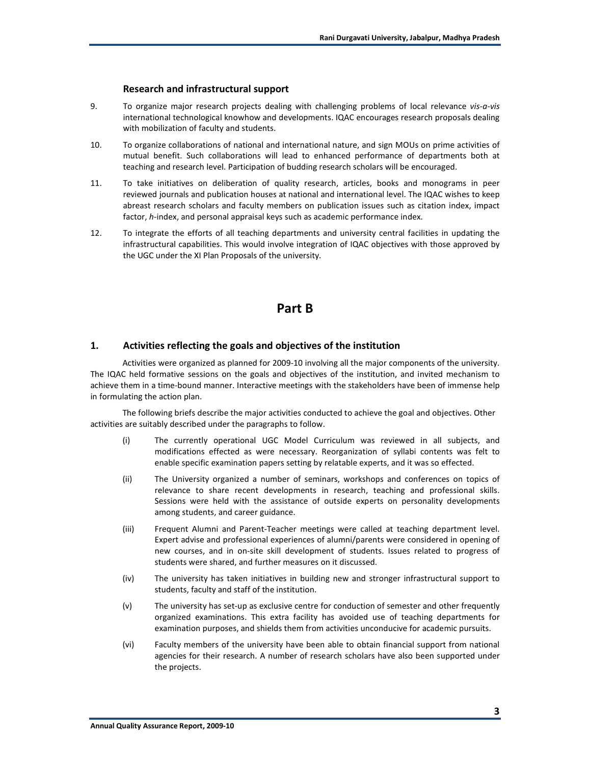#### **Research and infrastructural support**

- 9. To organize major research projects dealing with challenging problems of local relevance *vis-a-vis* international technological knowhow and developments. IQAC encourages research proposals dealing with mobilization of faculty and students.
- 10. To organize collaborations of national and international nature, and sign MOUs on prime activities of mutual benefit. Such collaborations will lead to enhanced performance of departments both at teaching and research level. Participation of budding research scholars will be encouraged.
- 11. To take initiatives on deliberation of quality research, articles, books and monograms in peer reviewed journals and publication houses at national and international level. The IQAC wishes to keep abreast research scholars and faculty members on publication issues such as citation index, impact factor, *h*-index, and personal appraisal keys such as academic performance index.
- 12. To integrate the efforts of all teaching departments and university central facilities in updating the infrastructural capabilities. This would involve integration of IQAC objectives with those approved by the UGC under the XI Plan Proposals of the university.

## **Part B**

#### **1. Activities reflecting the goals and objectives of the institution**

Activities were organized as planned for 2009-10 involving all the major components of the university. The IQAC held formative sessions on the goals and objectives of the institution, and invited mechanism to achieve them in a time-bound manner. Interactive meetings with the stakeholders have been of immense help in formulating the action plan.

The following briefs describe the major activities conducted to achieve the goal and objectives. Other activities are suitably described under the paragraphs to follow.

- (i) The currently operational UGC Model Curriculum was reviewed in all subjects, and modifications effected as were necessary. Reorganization of syllabi contents was felt to enable specific examination papers setting by relatable experts, and it was so effected.
- (ii) The University organized a number of seminars, workshops and conferences on topics of relevance to share recent developments in research, teaching and professional skills. Sessions were held with the assistance of outside experts on personality developments among students, and career guidance.
- (iii) Frequent Alumni and Parent-Teacher meetings were called at teaching department level. Expert advise and professional experiences of alumni/parents were considered in opening of new courses, and in on-site skill development of students. Issues related to progress of students were shared, and further measures on it discussed.
- (iv) The university has taken initiatives in building new and stronger infrastructural support to students, faculty and staff of the institution.
- (v) The university has set-up as exclusive centre for conduction of semester and other frequently organized examinations. This extra facility has avoided use of teaching departments for examination purposes, and shields them from activities unconducive for academic pursuits.
- (vi) Faculty members of the university have been able to obtain financial support from national agencies for their research. A number of research scholars have also been supported under the projects.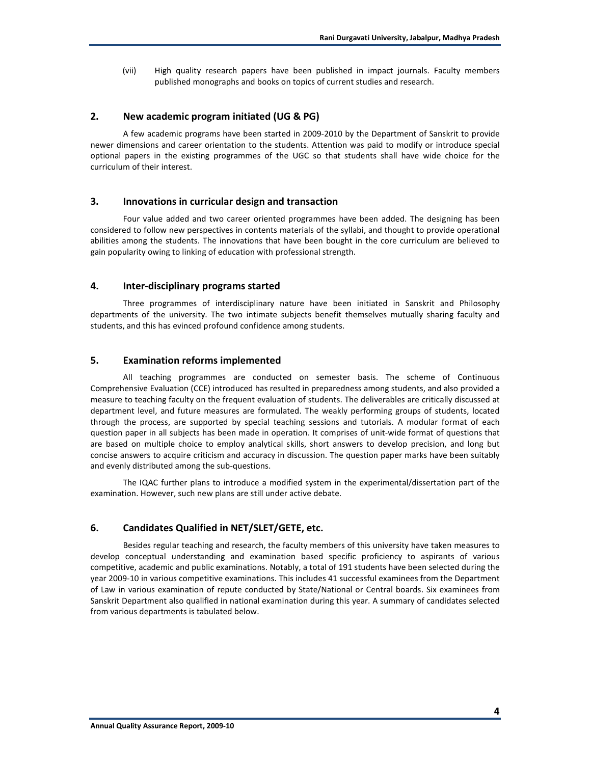(vii) High quality research papers have been published in impact journals. Faculty members published monographs and books on topics of current studies and research.

#### **2. New academic program initiated (UG & PG)**

A few academic programs have been started in 2009-2010 by the Department of Sanskrit to provide newer dimensions and career orientation to the students. Attention was paid to modify or introduce special optional papers in the existing programmes of the UGC so that students shall have wide choice for the curriculum of their interest.

#### **3. Innovations in curricular design and transaction**

Four value added and two career oriented programmes have been added. The designing has been considered to follow new perspectives in contents materials of the syllabi, and thought to provide operational abilities among the students. The innovations that have been bought in the core curriculum are believed to gain popularity owing to linking of education with professional strength.

#### **4. Inter-disciplinary programs started**

Three programmes of interdisciplinary nature have been initiated in Sanskrit and Philosophy departments of the university. The two intimate subjects benefit themselves mutually sharing faculty and students, and this has evinced profound confidence among students.

## **5. Examination reforms implemented**

All teaching programmes are conducted on semester basis. The scheme of Continuous Comprehensive Evaluation (CCE) introduced has resulted in preparedness among students, and also provided a measure to teaching faculty on the frequent evaluation of students. The deliverables are critically discussed at department level, and future measures are formulated. The weakly performing groups of students, located through the process, are supported by special teaching sessions and tutorials. A modular format of each question paper in all subjects has been made in operation. It comprises of unit-wide format of questions that are based on multiple choice to employ analytical skills, short answers to develop precision, and long but concise answers to acquire criticism and accuracy in discussion. The question paper marks have been suitably and evenly distributed among the sub-questions.

 The IQAC further plans to introduce a modified system in the experimental/dissertation part of the examination. However, such new plans are still under active debate.

#### **6. Candidates Qualified in NET/SLET/GETE, etc.**

Besides regular teaching and research, the faculty members of this university have taken measures to develop conceptual understanding and examination based specific proficiency to aspirants of various competitive, academic and public examinations. Notably, a total of 191 students have been selected during the year 2009-10 in various competitive examinations. This includes 41 successful examinees from the Department of Law in various examination of repute conducted by State/National or Central boards. Six examinees from Sanskrit Department also qualified in national examination during this year. A summary of candidates selected from various departments is tabulated below.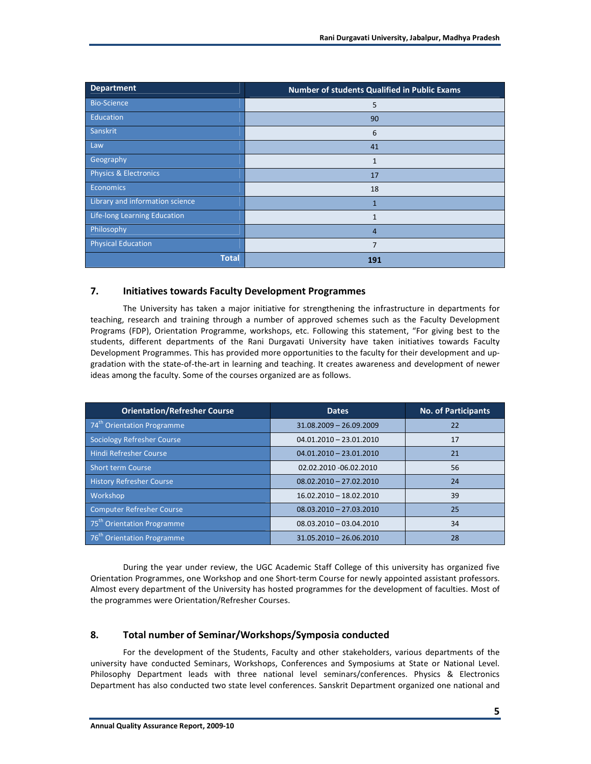| <b>Department</b>               | Number of students Qualified in Public Exams |  |  |
|---------------------------------|----------------------------------------------|--|--|
| <b>Bio-Science</b>              | 5                                            |  |  |
| Education                       | 90                                           |  |  |
| Sanskrit                        | 6                                            |  |  |
| Law                             | 41                                           |  |  |
| Geography                       | $\mathbf{1}$                                 |  |  |
| Physics & Electronics           | 17                                           |  |  |
| <b>Economics</b>                | 18                                           |  |  |
| Library and information science | $\overline{1}$                               |  |  |
| Life-long Learning Education    | $\mathbf{1}$                                 |  |  |
| Philosophy                      | $\overline{4}$                               |  |  |
| <b>Physical Education</b>       | 7                                            |  |  |
| <b>Total</b>                    | 191                                          |  |  |

## **7. Initiatives towards Faculty Development Programmes**

 The University has taken a major initiative for strengthening the infrastructure in departments for teaching, research and training through a number of approved schemes such as the Faculty Development Programs (FDP), Orientation Programme, workshops, etc. Following this statement, "For giving best to the students, different departments of the Rani Durgavati University have taken initiatives towards Faculty Development Programmes. This has provided more opportunities to the faculty for their development and upgradation with the state-of-the-art in learning and teaching. It creates awareness and development of newer ideas among the faculty. Some of the courses organized are as follows.

| <b>Orientation/Refresher Course</b>    | <b>Dates</b>              | <b>No. of Participants</b> |
|----------------------------------------|---------------------------|----------------------------|
| 74 <sup>th</sup> Orientation Programme | $31.08.2009 - 26.09.2009$ | 22                         |
| <b>Sociology Refresher Course</b>      | $04.01.2010 - 23.01.2010$ | 17                         |
| <b>Hindi Refresher Course</b>          | $04.01.2010 - 23.01.2010$ | 21                         |
| <b>Short term Course</b>               | 02.02.2010 - 06.02.2010   | 56                         |
| <b>History Refresher Course</b>        | $08.02.2010 - 27.02.2010$ | 24                         |
| Workshop                               | 16.02.2010 - 18.02.2010   | 39                         |
| <b>Computer Refresher Course</b>       | $08.03.2010 - 27.03.2010$ | 25                         |
| 75 <sup>th</sup> Orientation Programme | $08.03.2010 - 03.04.2010$ | 34                         |
| 76 <sup>th</sup> Orientation Programme | $31.05.2010 - 26.06.2010$ | 28                         |

During the year under review, the UGC Academic Staff College of this university has organized five Orientation Programmes, one Workshop and one Short-term Course for newly appointed assistant professors. Almost every department of the University has hosted programmes for the development of faculties. Most of the programmes were Orientation/Refresher Courses.

## **8. Total number of Seminar/Workshops/Symposia conducted**

For the development of the Students, Faculty and other stakeholders, various departments of the university have conducted Seminars, Workshops, Conferences and Symposiums at State or National Level. Philosophy Department leads with three national level seminars/conferences. Physics & Electronics Department has also conducted two state level conferences. Sanskrit Department organized one national and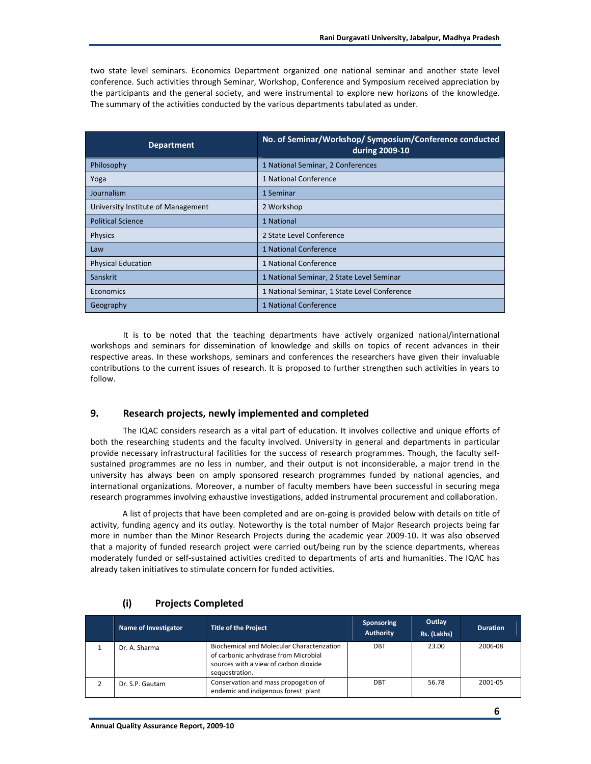two state level seminars. Economics Department organized one national seminar and another state level conference. Such activities through Seminar, Workshop, Conference and Symposium received appreciation by the participants and the general society, and were instrumental to explore new horizons of the knowledge. The summary of the activities conducted by the various departments tabulated as under.

| <b>Department</b>                  | No. of Seminar/Workshop/ Symposium/Conference conducted<br>during 2009-10 |
|------------------------------------|---------------------------------------------------------------------------|
| Philosophy                         | 1 National Seminar, 2 Conferences                                         |
| Yoga                               | 1 National Conference                                                     |
| Journalism                         | 1 Seminar                                                                 |
| University Institute of Management | 2 Workshop                                                                |
| <b>Political Science</b>           | 1 National                                                                |
| Physics                            | 2 State Level Conference                                                  |
| Law                                | 1 National Conference                                                     |
| <b>Physical Education</b>          | 1 National Conference                                                     |
| <b>Sanskrit</b>                    | 1 National Seminar, 2 State Level Seminar                                 |
| Economics                          | 1 National Seminar, 1 State Level Conference                              |
| Geography                          | 1 National Conference                                                     |

It is to be noted that the teaching departments have actively organized national/international workshops and seminars for dissemination of knowledge and skills on topics of recent advances in their respective areas. In these workshops, seminars and conferences the researchers have given their invaluable contributions to the current issues of research. It is proposed to further strengthen such activities in years to follow.

## **9. Research projects, newly implemented and completed**

The IQAC considers research as a vital part of education. It involves collective and unique efforts of both the researching students and the faculty involved. University in general and departments in particular provide necessary infrastructural facilities for the success of research programmes. Though, the faculty selfsustained programmes are no less in number, and their output is not inconsiderable, a major trend in the university has always been on amply sponsored research programmes funded by national agencies, and international organizations. Moreover, a number of faculty members have been successful in securing mega research programmes involving exhaustive investigations, added instrumental procurement and collaboration.

A list of projects that have been completed and are on-going is provided below with details on title of activity, funding agency and its outlay. Noteworthy is the total number of Major Research projects being far more in number than the Minor Research Projects during the academic year 2009-10. It was also observed that a majority of funded research project were carried out/being run by the science departments, whereas moderately funded or self-sustained activities credited to departments of arts and humanities. The IQAC has already taken initiatives to stimulate concern for funded activities.

| Name of Investigator | <b>Title of the Project</b>                                                                                                                          | <b>Sponsoring</b><br><b>Authority</b> | Outlay<br>Rs. (Lakhs) | <b>Duration</b> |
|----------------------|------------------------------------------------------------------------------------------------------------------------------------------------------|---------------------------------------|-----------------------|-----------------|
| Dr. A. Sharma        | <b>Biochemical and Molecular Characterization</b><br>of carbonic anhydrase from Microbial<br>sources with a view of carbon dioxide<br>sequestration. | DBT                                   | 23.00                 | 2006-08         |
| Dr. S.P. Gautam      | Conservation and mass propogation of<br>endemic and indigenous forest plant                                                                          | DBT                                   | 56.78                 | 2001-05         |

#### **(i) Projects Completed**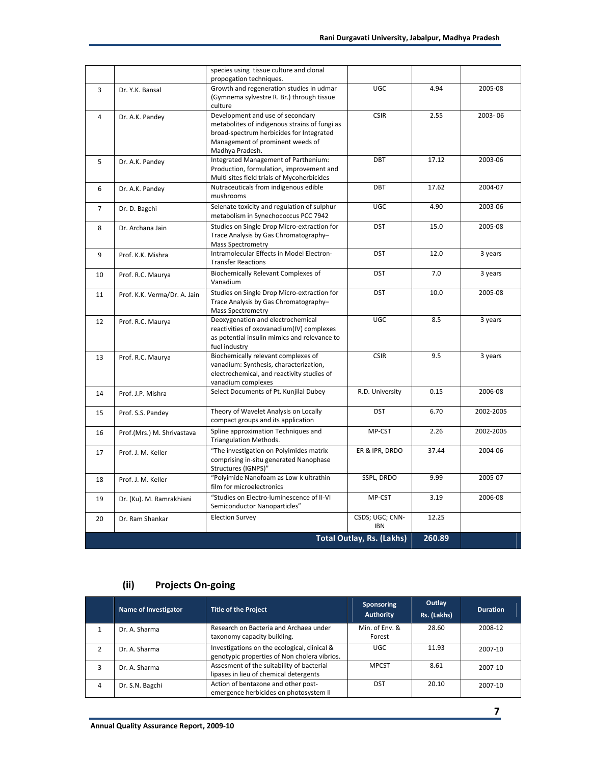|                |                              | species using tissue culture and clonal<br>propogation techniques.                                                                                                                   |                                  |        |           |
|----------------|------------------------------|--------------------------------------------------------------------------------------------------------------------------------------------------------------------------------------|----------------------------------|--------|-----------|
| 3              | Dr. Y.K. Bansal              | Growth and regeneration studies in udmar<br>(Gymnema sylvestre R. Br.) through tissue<br>culture                                                                                     | <b>UGC</b>                       | 4.94   | 2005-08   |
| 4              | Dr. A.K. Pandey              | Development and use of secondary<br>metabolites of indigenous strains of fungi as<br>broad-spectrum herbicides for Integrated<br>Management of prominent weeds of<br>Madhya Pradesh. | <b>CSIR</b>                      | 2.55   | 2003-06   |
| 5              | Dr. A.K. Pandey              | Integrated Management of Parthenium:<br>Production, formulation, improvement and<br>Multi-sites field trials of Mycoherbicides                                                       | DBT                              | 17.12  | 2003-06   |
| 6              | Dr. A.K. Pandey              | Nutraceuticals from indigenous edible<br>mushrooms                                                                                                                                   | DBT                              | 17.62  | 2004-07   |
| $\overline{7}$ | Dr. D. Bagchi                | Selenate toxicity and regulation of sulphur<br>metabolism in Synechococcus PCC 7942                                                                                                  | <b>UGC</b>                       | 4.90   | 2003-06   |
| 8              | Dr. Archana Jain             | Studies on Single Drop Micro-extraction for<br>Trace Analysis by Gas Chromatography-<br>Mass Spectrometry                                                                            | <b>DST</b>                       | 15.0   | 2005-08   |
| 9              | Prof. K.K. Mishra            | Intramolecular Effects in Model Electron-<br><b>Transfer Reactions</b>                                                                                                               | <b>DST</b>                       | 12.0   | 3 years   |
| 10             | Prof. R.C. Maurya            | Biochemically Relevant Complexes of<br><b>DST</b><br>Vanadium                                                                                                                        |                                  | 7.0    | 3 years   |
| 11             | Prof. K.K. Verma/Dr. A. Jain | Studies on Single Drop Micro-extraction for<br><b>DST</b><br>Trace Analysis by Gas Chromatography-<br><b>Mass Spectrometry</b>                                                       |                                  | 10.0   | 2005-08   |
| 12             | Prof. R.C. Maurya            | Deoxygenation and electrochemical<br>UGC<br>reactivities of oxovanadium(IV) complexes<br>as potential insulin mimics and relevance to<br>fuel industry                               |                                  | 8.5    | 3 years   |
| 13             | Prof. R.C. Maurya            | Biochemically relevant complexes of<br>vanadium: Synthesis, characterization,<br>electrochemical, and reactivity studies of<br>vanadium complexes                                    | <b>CSIR</b>                      | 9.5    | 3 years   |
| 14             | Prof. J.P. Mishra            | Select Documents of Pt. Kunjilal Dubey                                                                                                                                               | R.D. University                  | 0.15   | 2006-08   |
| 15             | Prof. S.S. Pandey            | Theory of Wavelet Analysis on Locally<br>compact groups and its application                                                                                                          | <b>DST</b>                       | 6.70   | 2002-2005 |
| 16             | Prof.(Mrs.) M. Shrivastava   | Spline approximation Techniques and<br>MP-CST<br>Triangulation Methods.                                                                                                              |                                  | 2.26   | 2002-2005 |
| 17             | Prof. J. M. Keller           | "The investigation on Polyimides matrix<br>ER & IPR, DRDO<br>comprising in-situ generated Nanophase<br>Structures (IGNPS)"                                                           |                                  | 37.44  | 2004-06   |
| 18             | Prof. J. M. Keller           | "Polyimide Nanofoam as Low-k ultrathin<br>film for microelectronics                                                                                                                  | SSPL, DRDO                       | 9.99   | 2005-07   |
| 19             | Dr. (Ku). M. Ramrakhiani     | "Studies on Electro-luminescence of II-VI<br>Semiconductor Nanoparticles"                                                                                                            | MP-CST                           | 3.19   | 2006-08   |
| 20             | Dr. Ram Shankar              | <b>Election Survey</b>                                                                                                                                                               | CSDS; UGC; CNN-<br><b>IBN</b>    | 12.25  |           |
|                |                              |                                                                                                                                                                                      | <b>Total Outlay, Rs. (Lakhs)</b> | 260.89 |           |

# **(ii) Projects On-going**

|   | Name of Investigator | <b>Title of the Project</b>                                                                  | Sponsoring<br><b>Authority</b> | Outlay<br>Rs. (Lakhs) | <b>Duration</b> |
|---|----------------------|----------------------------------------------------------------------------------------------|--------------------------------|-----------------------|-----------------|
|   | Dr. A. Sharma        | Research on Bacteria and Archaea under<br>taxonomy capacity building.                        | Min. of Env. &<br>Forest       | 28.60                 | 2008-12         |
|   | Dr. A. Sharma        | Investigations on the ecological, clinical &<br>genotypic properties of Non cholera vibrios. | UGC                            | 11.93                 | 2007-10         |
| 3 | Dr. A. Sharma        | Assesment of the suitability of bacterial<br>lipases in lieu of chemical detergents          | <b>MPCST</b>                   | 8.61                  | 2007-10         |
| 4 | Dr. S.N. Bagchi      | Action of bentazone and other post-<br>emergence herbicides on photosystem II                | <b>DST</b>                     | 20.10                 | 2007-10         |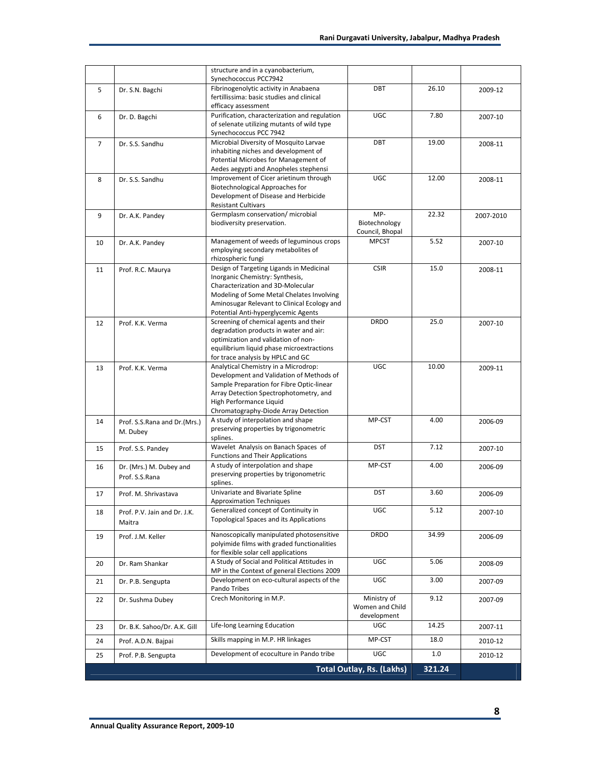|                |                                           |                                                                                                                                                                                                                                                     | <b>Total Outlay, Rs. (Lakhs)</b>        | 321.24        |           |
|----------------|-------------------------------------------|-----------------------------------------------------------------------------------------------------------------------------------------------------------------------------------------------------------------------------------------------------|-----------------------------------------|---------------|-----------|
| 25             | Prof. P.B. Sengupta                       | Development of ecoculture in Pando tribe                                                                                                                                                                                                            | UGC                                     | 1.0           | 2010-12   |
| 24             | Prof. A.D.N. Bajpai                       | Skills mapping in M.P. HR linkages                                                                                                                                                                                                                  | MP-CST                                  | 18.0          | 2010-12   |
| 23             | Dr. B.K. Sahoo/Dr. A.K. Gill              | Life-long Learning Education                                                                                                                                                                                                                        | <b>UGC</b>                              | 14.25         | 2007-11   |
| 22             | Dr. Sushma Dubey                          | Crech Monitoring in M.P.<br>Ministry of<br>Women and Child<br>development                                                                                                                                                                           |                                         | 9.12          | 2007-09   |
| 21             | Dr. P.B. Sengupta                         | Development on eco-cultural aspects of the<br>Pando Tribes                                                                                                                                                                                          | <b>UGC</b>                              | 3.00          | 2007-09   |
| 20             | Dr. Ram Shankar                           | A Study of Social and Political Attitudes in<br>MP in the Context of general Elections 2009                                                                                                                                                         | UGC                                     | 5.06          | 2008-09   |
| 19             | Prof. J.M. Keller                         | Nanoscopically manipulated photosensitive<br><b>DRDO</b><br>polyimide films with graded functionalities<br>for flexible solar cell applications                                                                                                     |                                         | 34.99         | 2006-09   |
| 18             | Prof. P.V. Jain and Dr. J.K.<br>Maitra    | Generalized concept of Continuity in<br><b>Topological Spaces and its Applications</b>                                                                                                                                                              | UGC                                     | 5.12          | 2007-10   |
| 17             | Prof. M. Shrivastava                      | Univariate and Bivariate Spline<br><b>Approximation Techniques</b>                                                                                                                                                                                  | <b>DST</b>                              | 3.60          | 2006-09   |
| 16             | Dr. (Mrs.) M. Dubey and<br>Prof. S.S.Rana | A study of interpolation and shape<br>MP-CST<br>preserving properties by trigonometric<br>splines.                                                                                                                                                  |                                         | 4.00          | 2006-09   |
| 15             | Prof. S.S. Pandey                         | Wavelet Analysis on Banach Spaces of<br><b>Functions and Their Applications</b>                                                                                                                                                                     | <b>DST</b>                              | 7.12          | 2007-10   |
| 14             | Prof. S.S.Rana and Dr.(Mrs.)<br>M. Dubey  | A study of interpolation and shape<br>preserving properties by trigonometric<br>splines.                                                                                                                                                            | MP-CST                                  | 4.00          | 2006-09   |
| 13             | Prof. K.K. Verma                          | Analytical Chemistry in a Microdrop:<br>Development and Validation of Methods of<br>Sample Preparation for Fibre Optic-linear<br>Array Detection Spectrophotometry, and<br>High Performance Liquid<br>Chromatography-Diode Array Detection          | UGC                                     |               | 2009-11   |
| 12             | Prof. K.K. Verma                          | Screening of chemical agents and their<br><b>DRDO</b><br>degradation products in water and air:<br>optimization and validation of non-<br>equilibrium liquid phase microextractions<br>for trace analysis by HPLC and GC                            |                                         | 25.0<br>10.00 | 2007-10   |
| 11             | Prof. R.C. Maurya                         | Design of Targeting Ligands in Medicinal<br>Inorganic Chemistry: Synthesis,<br>Characterization and 3D-Molecular<br>Modeling of Some Metal Chelates Involving<br>Aminosugar Relevant to Clinical Ecology and<br>Potential Anti-hyperglycemic Agents | <b>CSIR</b>                             | 15.0          | 2008-11   |
| 10             | Dr. A.K. Pandey                           | Management of weeds of leguminous crops<br>employing secondary metabolites of<br>rhizospheric fungi                                                                                                                                                 | <b>MPCST</b>                            | 5.52          | 2007-10   |
| 9              | Dr. A.K. Pandey                           | Germplasm conservation/ microbial<br>biodiversity preservation.                                                                                                                                                                                     | MP-<br>Biotechnology<br>Council, Bhopal | 22.32         | 2007-2010 |
| 8              | Dr. S.S. Sandhu                           | Improvement of Cicer arietinum through<br>Biotechnological Approaches for<br>Development of Disease and Herbicide<br><b>Resistant Cultivars</b>                                                                                                     | UGC                                     | 12.00         | 2008-11   |
| $\overline{7}$ | Dr. S.S. Sandhu                           | Microbial Diversity of Mosquito Larvae<br>inhabiting niches and development of<br>Potential Microbes for Management of<br>Aedes aegypti and Anopheles stephensi                                                                                     | DBT                                     | 19.00         | 2008-11   |
| 6              | Dr. D. Bagchi                             | Purification, characterization and regulation<br>of selenate utilizing mutants of wild type<br>Synechococcus PCC 7942                                                                                                                               | UGC                                     |               | 2007-10   |
| 5              | Dr. S.N. Bagchi                           | Synechococcus PCC7942<br>Fibrinogenolytic activity in Anabaena<br>fertillissima: basic studies and clinical<br>efficacy assessment                                                                                                                  | <b>DBT</b>                              | 26.10         | 2009-12   |
|                |                                           | structure and in a cyanobacterium,                                                                                                                                                                                                                  |                                         |               |           |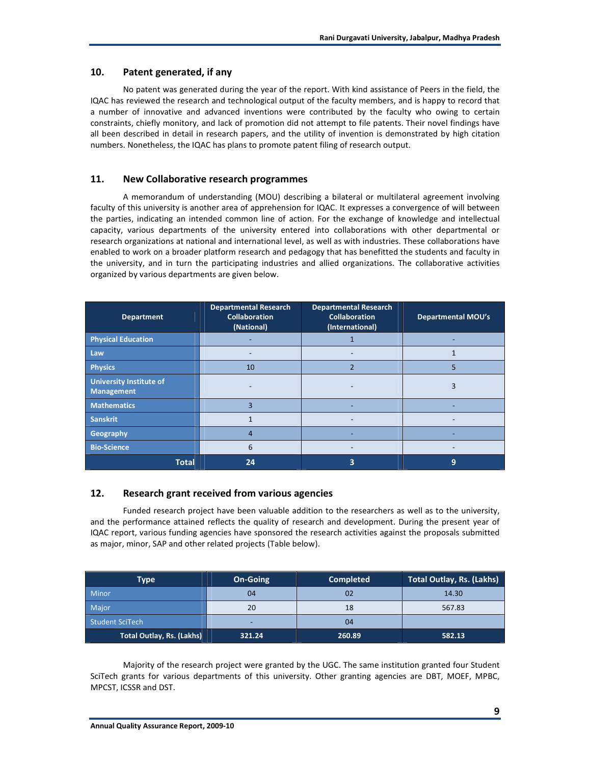## **10. Patent generated, if any**

No patent was generated during the year of the report. With kind assistance of Peers in the field, the IQAC has reviewed the research and technological output of the faculty members, and is happy to record that a number of innovative and advanced inventions were contributed by the faculty who owing to certain constraints, chiefly monitory, and lack of promotion did not attempt to file patents. Their novel findings have all been described in detail in research papers, and the utility of invention is demonstrated by high citation numbers. Nonetheless, the IQAC has plans to promote patent filing of research output.

## **11. New Collaborative research programmes**

A memorandum of understanding (MOU) describing a bilateral or multilateral agreement involving faculty of this university is another area of apprehension for IQAC. It expresses a convergence of will between the parties, indicating an intended common line of action. For the exchange of knowledge and intellectual capacity, various departments of the university entered into collaborations with other departmental or research organizations at national and international level, as well as with industries. These collaborations have enabled to work on a broader platform research and pedagogy that has benefitted the students and faculty in the university, and in turn the participating industries and allied organizations. The collaborative activities organized by various departments are given below.

| <b>Department</b>                                   | <b>Departmental Research</b><br><b>Departmental Research</b><br><b>Collaboration</b><br><b>Collaboration</b><br>(National)<br>(International) |   | <b>Departmental MOU's</b> |
|-----------------------------------------------------|-----------------------------------------------------------------------------------------------------------------------------------------------|---|---------------------------|
| <b>Physical Education</b>                           |                                                                                                                                               |   |                           |
| Law                                                 |                                                                                                                                               |   |                           |
| <b>Physics</b>                                      | $\overline{2}$<br>10                                                                                                                          |   | 5                         |
| <b>University Institute of</b><br><b>Management</b> |                                                                                                                                               |   | ς                         |
| <b>Mathematics</b>                                  | 3                                                                                                                                             |   |                           |
| <b>Sanskrit</b>                                     |                                                                                                                                               |   |                           |
| Geography                                           | 4                                                                                                                                             |   |                           |
| <b>Bio-Science</b>                                  | 6                                                                                                                                             |   |                           |
| <b>Total</b>                                        | 24                                                                                                                                            | 3 | 9                         |

## **12. Research grant received from various agencies**

Funded research project have been valuable addition to the researchers as well as to the university, and the performance attained reflects the quality of research and development. During the present year of IQAC report, various funding agencies have sponsored the research activities against the proposals submitted as major, minor, SAP and other related projects (Table below).

| Type                             | <b>On-Going</b> | <b>Completed</b> | Total Outlay, Rs. (Lakhs) |
|----------------------------------|-----------------|------------------|---------------------------|
| <b>Minor</b>                     | 04              | 02               | 14.30                     |
| Major                            | 20              | 18               | 567.83                    |
| <b>Student SciTech</b>           |                 | 04               |                           |
| <b>Total Outlay, Rs. (Lakhs)</b> | 321.24          | 260.89           | 582.13                    |

Majority of the research project were granted by the UGC. The same institution granted four Student SciTech grants for various departments of this university. Other granting agencies are DBT, MOEF, MPBC, MPCST, ICSSR and DST.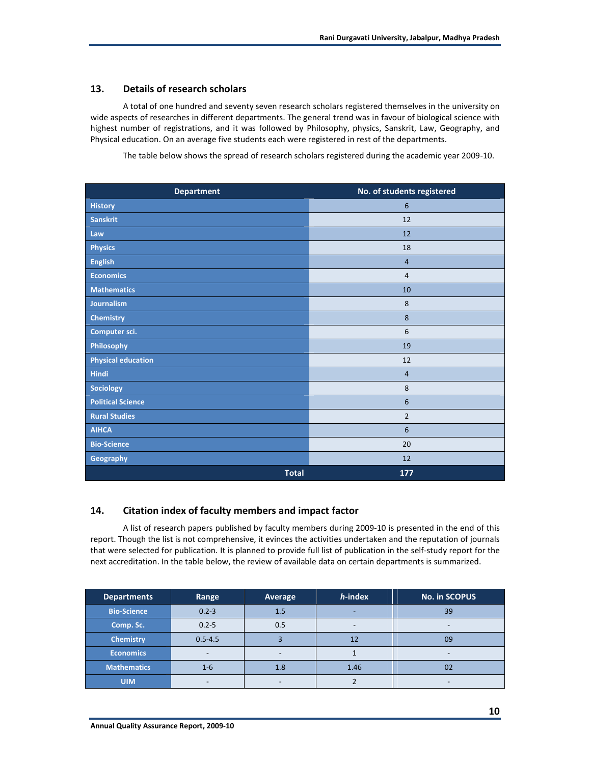## **13. Details of research scholars**

A total of one hundred and seventy seven research scholars registered themselves in the university on wide aspects of researches in different departments. The general trend was in favour of biological science with highest number of registrations, and it was followed by Philosophy, physics, Sanskrit, Law, Geography, and Physical education. On an average five students each were registered in rest of the departments.

The table below shows the spread of research scholars registered during the academic year 2009-10.

| <b>Department</b>         | No. of students registered |
|---------------------------|----------------------------|
| <b>History</b>            | 6                          |
| Sanskrit                  | 12                         |
| Law                       | 12                         |
| <b>Physics</b>            | 18                         |
| <b>English</b>            | $\overline{4}$             |
| <b>Economics</b>          | $\overline{4}$             |
| <b>Mathematics</b>        | 10                         |
| Journalism                | 8                          |
| <b>Chemistry</b>          | 8                          |
| Computer sci.             | 6                          |
| Philosophy                | 19                         |
| <b>Physical education</b> | 12                         |
| Hindi                     | $\overline{4}$             |
| Sociology                 | 8                          |
| <b>Political Science</b>  | 6                          |
| <b>Rural Studies</b>      | $\overline{2}$             |
| <b>AIHCA</b>              | 6                          |
| <b>Bio-Science</b>        | 20                         |
| Geography                 | 12                         |
| <b>Total</b>              | 177                        |

## **14. Citation index of faculty members and impact factor**

A list of research papers published by faculty members during 2009-10 is presented in the end of this report. Though the list is not comprehensive, it evinces the activities undertaken and the reputation of journals that were selected for publication. It is planned to provide full list of publication in the self-study report for the next accreditation. In the table below, the review of available data on certain departments is summarized.

| <b>Departments</b> | Range       | Average | h-index | <b>No. in SCOPUS</b> |
|--------------------|-------------|---------|---------|----------------------|
| <b>Bio-Science</b> | $0.2 - 3$   | 1.5     |         | 39                   |
| Comp. Sc.          | $0.2 - 5$   | 0.5     |         |                      |
| <b>Chemistry</b>   | $0.5 - 4.5$ |         |         | 09                   |
| <b>Economics</b>   |             |         |         |                      |
| <b>Mathematics</b> | $1 - 6$     | 1.8     | 1.46    | 0 <sub>2</sub>       |
| <b>UIM</b>         |             |         |         |                      |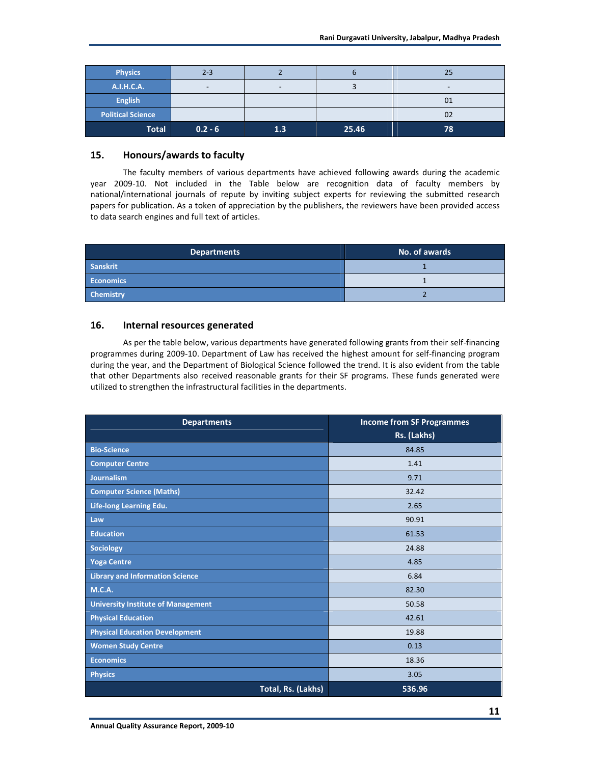| <b>Physics</b>           | $2 - 3$   |     |       | 25 |
|--------------------------|-----------|-----|-------|----|
| A.I.H.C.A.               |           |     |       | -  |
| <b>English</b>           |           |     |       | 01 |
| <b>Political Science</b> |           |     |       | 02 |
| <b>Total</b>             | $0.2 - 6$ | 1.3 | 25.46 | 78 |

## **15. Honours/awards to faculty**

The faculty members of various departments have achieved following awards during the academic year 2009-10. Not included in the Table below are recognition data of faculty members by national/international journals of repute by inviting subject experts for reviewing the submitted research papers for publication. As a token of appreciation by the publishers, the reviewers have been provided access to data search engines and full text of articles.

| Departments      | No. of awards |
|------------------|---------------|
| Sanskrit         |               |
| <b>Economics</b> |               |
| <b>Chemistry</b> |               |

## **16. Internal resources generated**

As per the table below, various departments have generated following grants from their self-financing programmes during 2009-10. Department of Law has received the highest amount for self-financing program during the year, and the Department of Biological Science followed the trend. It is also evident from the table that other Departments also received reasonable grants for their SF programs. These funds generated were utilized to strengthen the infrastructural facilities in the departments.

| <b>Departments</b>                        | <b>Income from SF Programmes</b><br>Rs. (Lakhs) |
|-------------------------------------------|-------------------------------------------------|
| <b>Bio-Science</b>                        | 84.85                                           |
| <b>Computer Centre</b>                    | 1.41                                            |
| <b>Journalism</b>                         | 9.71                                            |
| <b>Computer Science (Maths)</b>           | 32.42                                           |
| Life-long Learning Edu.                   | 2.65                                            |
| Law                                       | 90.91                                           |
| <b>Education</b>                          | 61.53                                           |
| <b>Sociology</b>                          | 24.88                                           |
| <b>Yoga Centre</b>                        | 4.85                                            |
| <b>Library and Information Science</b>    | 6.84                                            |
| <b>M.C.A.</b>                             | 82.30                                           |
| <b>University Institute of Management</b> | 50.58                                           |
| <b>Physical Education</b>                 | 42.61                                           |
| <b>Physical Education Development</b>     | 19.88                                           |
| <b>Women Study Centre</b>                 | 0.13                                            |
| <b>Economics</b>                          | 18.36                                           |
| <b>Physics</b>                            | 3.05                                            |
| Total, Rs. (Lakhs)                        | 536.96                                          |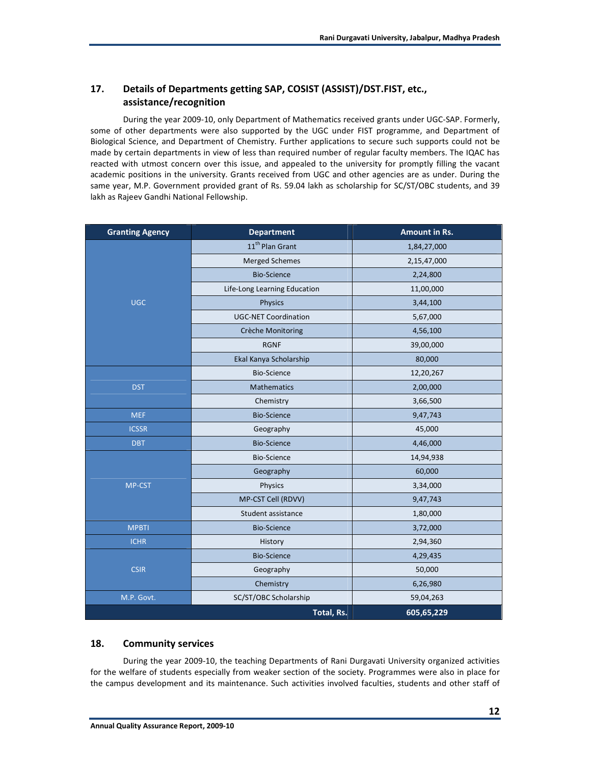## **17. Details of Departments getting SAP, COSIST (ASSIST)/DST.FIST, etc., assistance/recognition**

During the year 2009-10, only Department of Mathematics received grants under UGC-SAP. Formerly, some of other departments were also supported by the UGC under FIST programme, and Department of Biological Science, and Department of Chemistry. Further applications to secure such supports could not be made by certain departments in view of less than required number of regular faculty members. The IQAC has reacted with utmost concern over this issue, and appealed to the university for promptly filling the vacant academic positions in the university. Grants received from UGC and other agencies are as under. During the same year, M.P. Government provided grant of Rs. 59.04 lakh as scholarship for SC/ST/OBC students, and 39 lakh as Rajeev Gandhi National Fellowship.

| <b>Granting Agency</b> | <b>Department</b>            | Amount in Rs. |
|------------------------|------------------------------|---------------|
|                        | 11 <sup>th</sup> Plan Grant  | 1,84,27,000   |
|                        | <b>Merged Schemes</b>        | 2,15,47,000   |
|                        | <b>Bio-Science</b>           | 2,24,800      |
|                        | Life-Long Learning Education | 11,00,000     |
| <b>UGC</b>             | <b>Physics</b>               | 3,44,100      |
|                        | <b>UGC-NET Coordination</b>  | 5,67,000      |
|                        | Crèche Monitoring            | 4,56,100      |
|                        | <b>RGNF</b>                  | 39,00,000     |
|                        | Ekal Kanya Scholarship       | 80,000        |
|                        | <b>Bio-Science</b>           | 12,20,267     |
| <b>DST</b>             | <b>Mathematics</b>           | 2,00,000      |
|                        | Chemistry                    | 3,66,500      |
| <b>MEF</b>             | <b>Bio-Science</b>           | 9,47,743      |
| <b>ICSSR</b>           | Geography                    | 45,000        |
| <b>DBT</b>             | <b>Bio-Science</b>           | 4,46,000      |
|                        | <b>Bio-Science</b>           | 14,94,938     |
|                        | Geography                    | 60,000        |
| MP-CST                 | Physics                      | 3,34,000      |
|                        | MP-CST Cell (RDVV)           | 9,47,743      |
|                        | Student assistance           | 1,80,000      |
| <b>MPBTI</b>           | <b>Bio-Science</b>           | 3,72,000      |
| <b>ICHR</b>            | History                      | 2,94,360      |
|                        | <b>Bio-Science</b>           | 4,29,435      |
| <b>CSIR</b>            | Geography                    | 50,000        |
|                        | Chemistry                    | 6,26,980      |
| M.P. Govt.             | SC/ST/OBC Scholarship        | 59,04,263     |
|                        | Total, Rs.                   | 605,65,229    |

## **18. Community services**

During the year 2009-10, the teaching Departments of Rani Durgavati University organized activities for the welfare of students especially from weaker section of the society. Programmes were also in place for the campus development and its maintenance. Such activities involved faculties, students and other staff of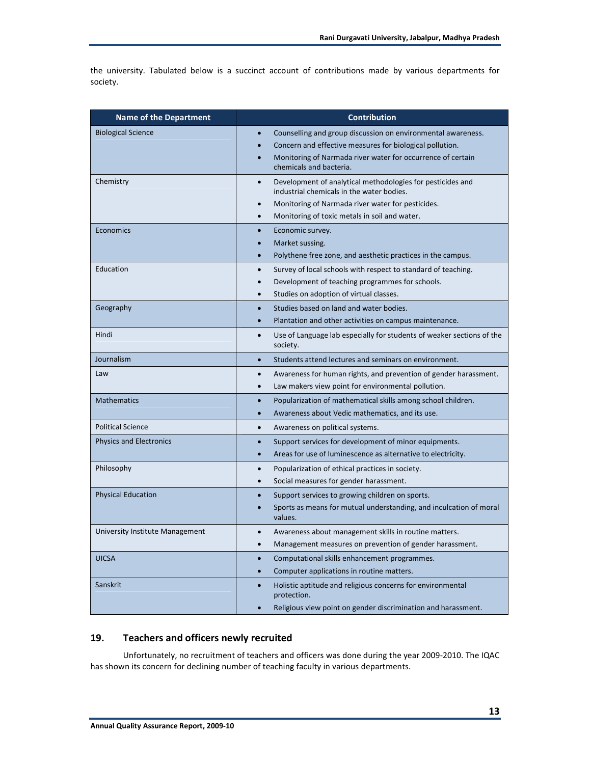the university. Tabulated below is a succinct account of contributions made by various departments for society.

| <b>Name of the Department</b>   | <b>Contribution</b>                                                                                                                                                                                                                     |  |  |
|---------------------------------|-----------------------------------------------------------------------------------------------------------------------------------------------------------------------------------------------------------------------------------------|--|--|
| <b>Biological Science</b>       | Counselling and group discussion on environmental awareness.<br>Concern and effective measures for biological pollution.<br>Monitoring of Narmada river water for occurrence of certain<br>chemicals and bacteria.                      |  |  |
| Chemistry                       | Development of analytical methodologies for pesticides and<br>$\bullet$<br>industrial chemicals in the water bodies.<br>Monitoring of Narmada river water for pesticides.<br>Monitoring of toxic metals in soil and water.<br>$\bullet$ |  |  |
| <b>Economics</b>                | Economic survey.<br>$\bullet$<br>Market sussing.<br>$\bullet$<br>Polythene free zone, and aesthetic practices in the campus.<br>$\bullet$                                                                                               |  |  |
| Education                       | Survey of local schools with respect to standard of teaching.<br>$\bullet$<br>Development of teaching programmes for schools.<br>$\bullet$<br>Studies on adoption of virtual classes.<br>$\bullet$                                      |  |  |
| Geography                       | Studies based on land and water bodies.<br>$\bullet$<br>Plantation and other activities on campus maintenance.<br>$\bullet$                                                                                                             |  |  |
| Hindi                           | Use of Language lab especially for students of weaker sections of the<br>$\bullet$<br>society.                                                                                                                                          |  |  |
| Journalism                      | Students attend lectures and seminars on environment.<br>$\bullet$                                                                                                                                                                      |  |  |
| Law                             | Awareness for human rights, and prevention of gender harassment.<br>$\bullet$<br>Law makers view point for environmental pollution.<br>$\bullet$                                                                                        |  |  |
| <b>Mathematics</b>              | Popularization of mathematical skills among school children.<br>Awareness about Vedic mathematics, and its use.<br>$\bullet$                                                                                                            |  |  |
| <b>Political Science</b>        | Awareness on political systems.<br>$\bullet$                                                                                                                                                                                            |  |  |
| <b>Physics and Electronics</b>  | Support services for development of minor equipments.<br>$\bullet$<br>Areas for use of luminescence as alternative to electricity.<br>$\bullet$                                                                                         |  |  |
| Philosophy                      | Popularization of ethical practices in society.<br>$\bullet$<br>Social measures for gender harassment.<br>$\bullet$                                                                                                                     |  |  |
| <b>Physical Education</b>       | Support services to growing children on sports.<br>Sports as means for mutual understanding, and inculcation of moral<br>values.                                                                                                        |  |  |
| University Institute Management | Awareness about management skills in routine matters.<br>$\bullet$<br>Management measures on prevention of gender harassment.<br>$\bullet$                                                                                              |  |  |
| <b>UICSA</b>                    | Computational skills enhancement programmes.<br>$\bullet$<br>Computer applications in routine matters.<br>$\bullet$                                                                                                                     |  |  |
| Sanskrit                        | Holistic aptitude and religious concerns for environmental<br>protection.                                                                                                                                                               |  |  |
|                                 | Religious view point on gender discrimination and harassment.                                                                                                                                                                           |  |  |

## **19. Teachers and officers newly recruited**

Unfortunately, no recruitment of teachers and officers was done during the year 2009-2010. The IQAC has shown its concern for declining number of teaching faculty in various departments.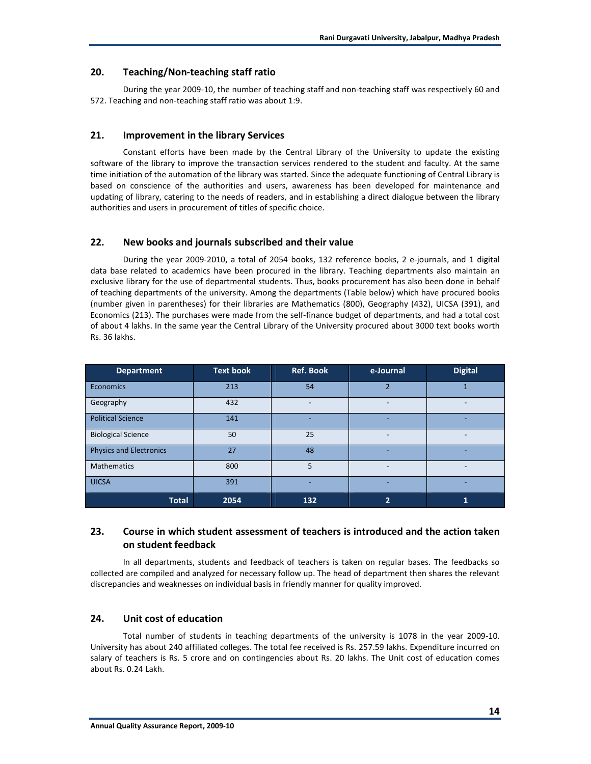#### **20. Teaching/Non-teaching staff ratio**

During the year 2009-10, the number of teaching staff and non-teaching staff was respectively 60 and 572. Teaching and non-teaching staff ratio was about 1:9.

#### **21. Improvement in the library Services**

Constant efforts have been made by the Central Library of the University to update the existing software of the library to improve the transaction services rendered to the student and faculty. At the same time initiation of the automation of the library was started. Since the adequate functioning of Central Library is based on conscience of the authorities and users, awareness has been developed for maintenance and updating of library, catering to the needs of readers, and in establishing a direct dialogue between the library authorities and users in procurement of titles of specific choice.

#### **22. New books and journals subscribed and their value**

During the year 2009-2010, a total of 2054 books, 132 reference books, 2 e-journals, and 1 digital data base related to academics have been procured in the library. Teaching departments also maintain an exclusive library for the use of departmental students. Thus, books procurement has also been done in behalf of teaching departments of the university. Among the departments (Table below) which have procured books (number given in parentheses) for their libraries are Mathematics (800), Geography (432), UICSA (391), and Economics (213). The purchases were made from the self-finance budget of departments, and had a total cost of about 4 lakhs. In the same year the Central Library of the University procured about 3000 text books worth Rs. 36 lakhs.

| <b>Department</b>              | <b>Text book</b> | <b>Ref. Book</b> | e-Journal      | <b>Digital</b> |
|--------------------------------|------------------|------------------|----------------|----------------|
| Economics                      | 213              | 54               | $\overline{2}$ | 1              |
| Geography                      | 432              |                  |                |                |
| <b>Political Science</b>       | 141              |                  |                |                |
| <b>Biological Science</b>      | 50               | 25               |                |                |
| <b>Physics and Electronics</b> | 27               | 48               |                |                |
| <b>Mathematics</b>             | 800              | 5                |                |                |
| <b>UICSA</b>                   | 391              |                  |                |                |
| <b>Total</b>                   | 2054             | 132              | 2              |                |

## **23. Course in which student assessment of teachers is introduced and the action taken on student feedback**

In all departments, students and feedback of teachers is taken on regular bases. The feedbacks so collected are compiled and analyzed for necessary follow up. The head of department then shares the relevant discrepancies and weaknesses on individual basis in friendly manner for quality improved.

#### **24. Unit cost of education**

Total number of students in teaching departments of the university is 1078 in the year 2009-10. University has about 240 affiliated colleges. The total fee received is Rs. 257.59 lakhs. Expenditure incurred on salary of teachers is Rs. 5 crore and on contingencies about Rs. 20 lakhs. The Unit cost of education comes about Rs. 0.24 Lakh.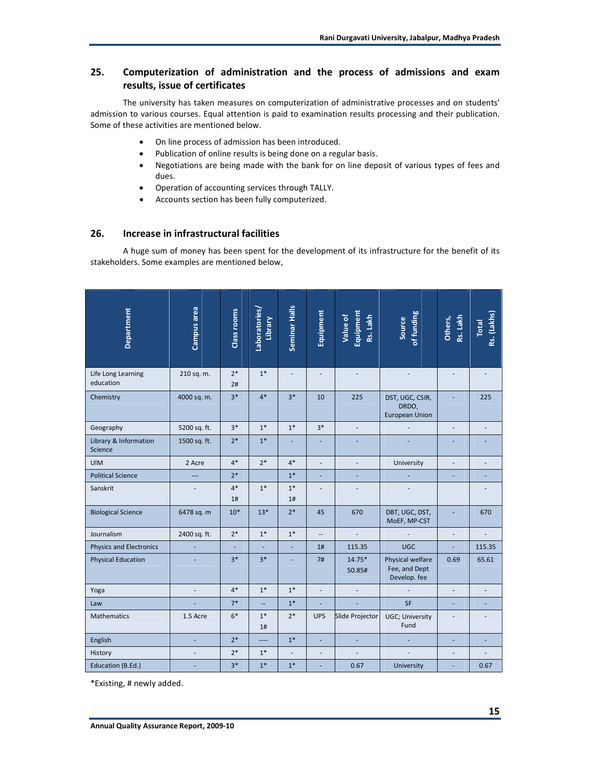## **25. Computerization of administration and the process of admissions and exam results, issue of certificates**

The university has taken measures on computerization of administrative processes and on students' admission to various courses. Equal attention is paid to examination results processing and their publication. Some of these activities are mentioned below.

- On line process of admission has been introduced.
- Publication of online results is being done on a regular basis.
- Negotiations are being made with the bank for on line deposit of various types of fees and dues.
- Operation of accounting services through TALLY.
- Accounts section has been fully computerized.

## **26. Increase in infrastructural facilities**

A huge sum of money has been spent for the development of its infrastructure for the benefit of its stakeholders. Some examples are mentioned below,

| Department                       | Campus area    | Class rooms | Laboratories/<br>Library | Seminar Halls  | Equipment                | Equipment<br>Value of<br>Rs. Lakh | of funding<br>Source                              | Rs. Lakh<br>Others, | Rs. (Lakhs)<br><b>Total</b> |
|----------------------------------|----------------|-------------|--------------------------|----------------|--------------------------|-----------------------------------|---------------------------------------------------|---------------------|-----------------------------|
| Life Long Learning<br>education  | 210 sq. m.     | $2*$<br>2#  | $1*$                     | L.             |                          |                                   |                                                   |                     |                             |
| Chemistry                        | 4000 sq. m.    | $3*$        | $4*$                     | $3*$           | 10                       | 225                               | DST, UGC, CSIR,<br>DRDO,<br><b>European Union</b> |                     | 225                         |
| Geography                        | 5200 sq. ft.   | $3*$        | $1*$                     | $1*$           | $3*$                     | ÷.                                |                                                   | $\blacksquare$      | $\overline{a}$              |
| Library & Information<br>Science | 1500 sq. ft.   | $2*$        | $1*$                     | ä,             | ä,                       |                                   |                                                   |                     |                             |
| <b>UIM</b>                       | 2 Acre         | $4*$        | $2*$                     | $4*$           | L,                       |                                   | University                                        |                     |                             |
| <b>Political Science</b>         | $\overline{a}$ | $2*$        |                          | $1*$           | ä,                       |                                   |                                                   |                     |                             |
| Sanskrit                         |                | $4*$<br>1#  | $1*$                     | $1*$<br>1#     |                          |                                   |                                                   |                     |                             |
| <b>Biological Science</b>        | 6478 sq. m     | $10*$       | $13*$                    | $2*$           | 45                       | 670                               | DBT, UGC, DST,<br>MoEF, MP-CST                    |                     | 670                         |
| Journalism                       | 2400 sq. ft.   | $2*$        | $1*$                     | $1*$           | $\overline{\phantom{a}}$ |                                   |                                                   |                     |                             |
| <b>Physics and Electronics</b>   |                | ä,          | ä,                       | ÷,             | 1#                       | 115.35                            | <b>UGC</b>                                        | ÷,                  | 115.35                      |
| <b>Physical Education</b>        |                | $3*$        | $3*$                     |                | 7#                       | 14.75*<br>50.85#                  | Physical welfare<br>Fee, and Dept<br>Develop. fee | 0.69                | 65.61                       |
| Yoga                             |                | $4*$        | $1*$                     | $1*$           | L,                       |                                   |                                                   |                     |                             |
| Law                              |                | $7*$        | u,                       | $1*$           | L,                       |                                   | SF                                                |                     |                             |
| <b>Mathematics</b>               | 1.5 Acre       | $6*$        | $1*$<br>1#               | $2*$           | <b>UPS</b>               | Slide Projector                   | UGC; University<br>Fund                           |                     |                             |
| English                          | ÷              | $2*$        | $---$                    | $1*$           | ÷,                       | ÷.                                |                                                   |                     |                             |
| History                          |                | $2*$        | $1*$                     | $\blacksquare$ | $\overline{\phantom{a}}$ |                                   |                                                   |                     |                             |
| Education (B.Ed.)                |                | $3*$        | $1*$                     | $1*$           |                          | 0.67                              | University                                        |                     | 0.67                        |

\*Existing, # newly added.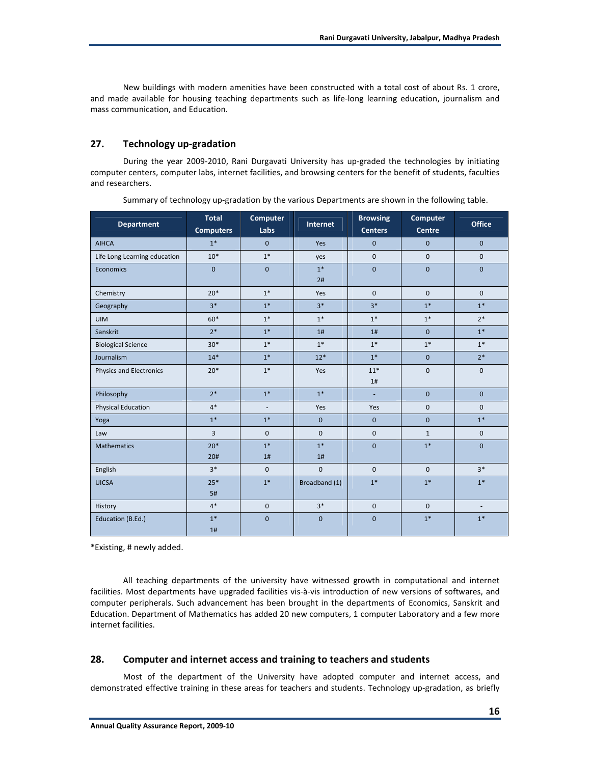New buildings with modern amenities have been constructed with a total cost of about Rs. 1 crore, and made available for housing teaching departments such as life-long learning education, journalism and mass communication, and Education.

## **27. Technology up-gradation**

During the year 2009-2010, Rani Durgavati University has up-graded the technologies by initiating computer centers, computer labs, internet facilities, and browsing centers for the benefit of students, faculties and researchers.

| <b>Department</b>            | <b>Total</b><br><b>Computers</b> | Computer<br>Labs | Internet      | <b>Browsing</b><br><b>Centers</b> | Computer<br><b>Centre</b> | <b>Office</b> |
|------------------------------|----------------------------------|------------------|---------------|-----------------------------------|---------------------------|---------------|
| <b>AIHCA</b>                 | $1*$                             | $\Omega$         | Yes           | $\mathbf{0}$                      | $\mathbf{0}$              | $\mathbf{0}$  |
| Life Long Learning education | $10*$                            | $1*$             | yes           | $\boldsymbol{0}$                  | $\mathbf 0$               | $\mathbf 0$   |
| Economics                    | $\mathbf 0$                      | $\mathbf{0}$     | $1*$<br>2#    | $\mathbf{0}$                      | $\mathbf{0}$              | $\mathbf{0}$  |
| Chemistry                    | $20*$                            | $1*$             | Yes           | $\mathbf{0}$                      | $\mathbf{0}$              | $\mathbf{0}$  |
| Geography                    | $3*$                             | $1*$             | $3*$          | $3*$                              | $1*$                      | $1*$          |
| <b>UIM</b>                   | $60*$                            | $1*$             | $1*$          | $1*$                              | $1*$                      | $2*$          |
| Sanskrit                     | $2*$                             | $1*$             | 1#            | 1#                                | $\mathbf{0}$              | $1*$          |
| <b>Biological Science</b>    | $30*$                            | $1*$             | $1*$          | $1*$                              | $1*$                      | $1*$          |
| Journalism                   | $14*$                            | $1*$             | $12*$         | $1*$                              | $\mathbf{0}$              | $2*$          |
| Physics and Electronics      | $20*$                            | $1*$             | Yes           | $11*$<br>1#                       | $\boldsymbol{0}$          | $\mathbf 0$   |
| Philosophy                   | $2*$                             | $1*$             | $1*$          | $\sim$                            | $\mathbf{0}$              | $\mathbf{0}$  |
| <b>Physical Education</b>    | $4*$                             |                  | Yes           | Yes                               | $\mathbf 0$               | $\mathbf{0}$  |
| Yoga                         | $1*$                             | $1*$             | $\mathbf{0}$  | $\mathbf{0}$                      | $\mathbf{0}$              | $1*$          |
| Law                          | $\overline{3}$                   | $\mathbf{0}$     | $\mathbf{0}$  | $\mathbf{0}$                      | $\mathbf{1}$              | $\mathbf 0$   |
| <b>Mathematics</b>           | $20*$<br>20#                     | $1*$<br>1#       | $1*$<br>1#    | $\mathbf 0$                       | $1*$                      | $\mathbf{0}$  |
| English                      | $3*$                             | $\Omega$         | $\mathbf{0}$  | $\Omega$                          | $\mathbf{0}$              | $3*$          |
| <b>UICSA</b>                 | $25*$<br>5#                      | $1*$             | Broadband (1) | $1*$                              | $1*$                      | $1*$          |
| History                      | $4*$                             | $\pmb{0}$        | $3*$          | $\mathbf 0$                       | $\mathbf 0$               | $\sim$        |
| Education (B.Ed.)            | $1*$<br>1#                       | $\overline{0}$   | $\mathbf{0}$  | $\mathbf{0}$                      | $1*$                      | $1*$          |

Summary of technology up-gradation by the various Departments are shown in the following table.

\*Existing, # newly added.

All teaching departments of the university have witnessed growth in computational and internet facilities. Most departments have upgraded facilities vis-à-vis introduction of new versions of softwares, and computer peripherals. Such advancement has been brought in the departments of Economics, Sanskrit and Education. Department of Mathematics has added 20 new computers, 1 computer Laboratory and a few more internet facilities.

## **28. Computer and internet access and training to teachers and students**

Most of the department of the University have adopted computer and internet access, and demonstrated effective training in these areas for teachers and students. Technology up-gradation, as briefly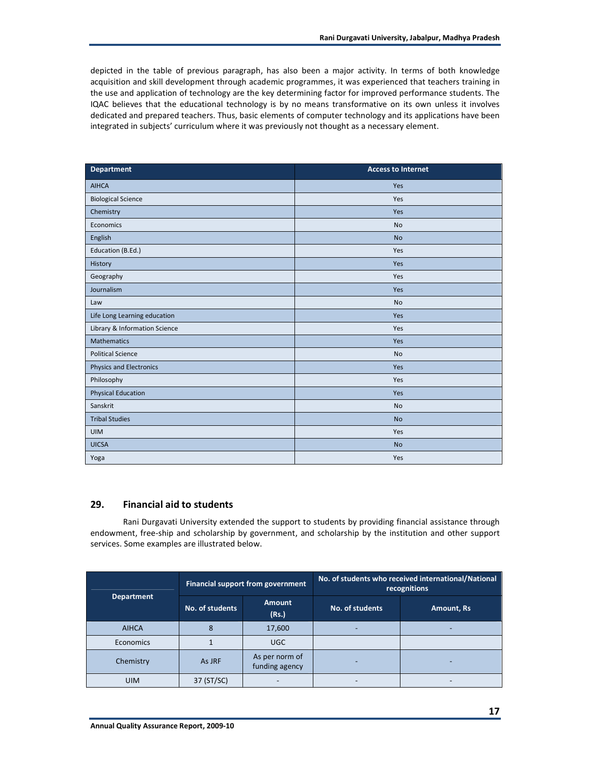depicted in the table of previous paragraph, has also been a major activity. In terms of both knowledge acquisition and skill development through academic programmes, it was experienced that teachers training in the use and application of technology are the key determining factor for improved performance students. The IQAC believes that the educational technology is by no means transformative on its own unless it involves dedicated and prepared teachers. Thus, basic elements of computer technology and its applications have been integrated in subjects' curriculum where it was previously not thought as a necessary element.

| Department                     | <b>Access to Internet</b> |
|--------------------------------|---------------------------|
| <b>AIHCA</b>                   | Yes                       |
| <b>Biological Science</b>      | Yes                       |
| Chemistry                      | Yes                       |
| Economics                      | <b>No</b>                 |
| English                        | <b>No</b>                 |
| Education (B.Ed.)              | Yes                       |
| History                        | Yes                       |
| Geography                      | Yes                       |
| Journalism                     | Yes                       |
| Law                            | No                        |
| Life Long Learning education   | Yes                       |
| Library & Information Science  | Yes                       |
| <b>Mathematics</b>             | Yes                       |
| <b>Political Science</b>       | <b>No</b>                 |
| <b>Physics and Electronics</b> | Yes                       |
| Philosophy                     | Yes                       |
| <b>Physical Education</b>      | Yes                       |
| Sanskrit                       | <b>No</b>                 |
| <b>Tribal Studies</b>          | <b>No</b>                 |
| <b>UIM</b>                     | Yes                       |
| <b>UICSA</b>                   | <b>No</b>                 |
| Yoga                           | Yes                       |

## **29. Financial aid to students**

Rani Durgavati University extended the support to students by providing financial assistance through endowment, free-ship and scholarship by government, and scholarship by the institution and other support services. Some examples are illustrated below.

|                   |                 | Financial support from government | No. of students who received international/National<br>recognitions |            |  |
|-------------------|-----------------|-----------------------------------|---------------------------------------------------------------------|------------|--|
| <b>Department</b> | No. of students | <b>Amount</b><br>(Rs.)            | No. of students                                                     | Amount, Rs |  |
| <b>AIHCA</b>      | 8               | 17,600                            |                                                                     |            |  |
| Economics         |                 | <b>UGC</b>                        |                                                                     |            |  |
| Chemistry         | As JRF          | As per norm of<br>funding agency  |                                                                     |            |  |
| <b>UIM</b>        | 37 (ST/SC)      |                                   |                                                                     |            |  |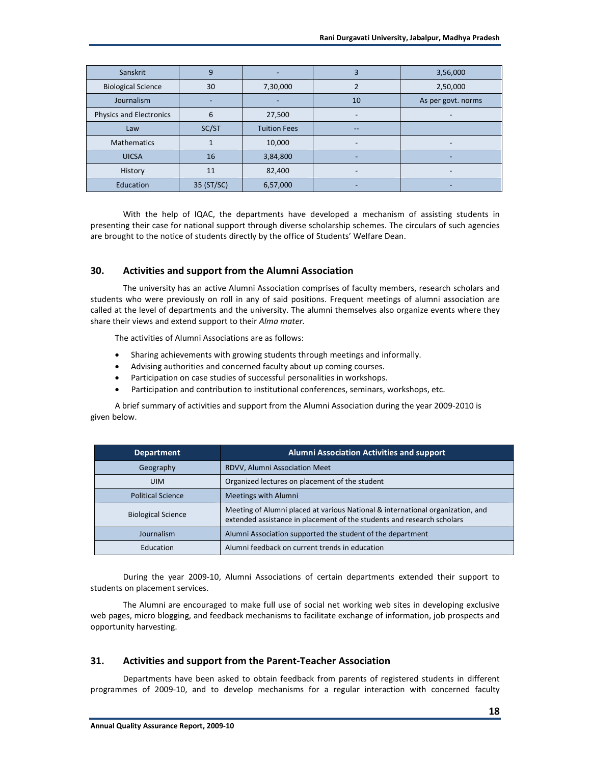| Sanskrit                       | 9          |                     | 3                        | 3,56,000           |
|--------------------------------|------------|---------------------|--------------------------|--------------------|
| <b>Biological Science</b>      | 30         | 7,30,000            |                          | 2,50,000           |
| Journalism                     |            |                     | 10                       | As per govt. norms |
| <b>Physics and Electronics</b> | 6          | 27,500              | Ξ.                       |                    |
| Law                            | SC/ST      | <b>Tuition Fees</b> | --                       |                    |
| <b>Mathematics</b>             |            | 10,000              | $\overline{\phantom{0}}$ |                    |
| <b>UICSA</b>                   | 16         | 3,84,800            | ۰                        | -                  |
| History                        | 11         | 82,400              | -                        | -                  |
| Education                      | 35 (ST/SC) | 6,57,000            | ۰                        |                    |

With the help of IQAC, the departments have developed a mechanism of assisting students in presenting their case for national support through diverse scholarship schemes. The circulars of such agencies are brought to the notice of students directly by the office of Students' Welfare Dean.

## **30. Activities and support from the Alumni Association**

The university has an active Alumni Association comprises of faculty members, research scholars and students who were previously on roll in any of said positions. Frequent meetings of alumni association are called at the level of departments and the university. The alumni themselves also organize events where they share their views and extend support to their *Alma mater.*

The activities of Alumni Associations are as follows:

- Sharing achievements with growing students through meetings and informally.
- Advising authorities and concerned faculty about up coming courses.
- Participation on case studies of successful personalities in workshops.
- Participation and contribution to institutional conferences, seminars, workshops, etc.

A brief summary of activities and support from the Alumni Association during the year 2009-2010 is given below.

| <b>Department</b>                                           | <b>Alumni Association Activities and support</b>                                                                                                         |  |
|-------------------------------------------------------------|----------------------------------------------------------------------------------------------------------------------------------------------------------|--|
| Geography                                                   | RDVV, Alumni Association Meet                                                                                                                            |  |
| <b>UIM</b>                                                  | Organized lectures on placement of the student                                                                                                           |  |
| <b>Political Science</b>                                    | <b>Meetings with Alumni</b>                                                                                                                              |  |
| <b>Biological Science</b>                                   | Meeting of Alumni placed at various National & international organization, and<br>extended assistance in placement of the students and research scholars |  |
| Journalism                                                  | Alumni Association supported the student of the department                                                                                               |  |
| Education<br>Alumni feedback on current trends in education |                                                                                                                                                          |  |

During the year 2009-10, Alumni Associations of certain departments extended their support to students on placement services.

The Alumni are encouraged to make full use of social net working web sites in developing exclusive web pages, micro blogging, and feedback mechanisms to facilitate exchange of information, job prospects and opportunity harvesting.

#### **31. Activities and support from the Parent-Teacher Association**

Departments have been asked to obtain feedback from parents of registered students in different programmes of 2009-10, and to develop mechanisms for a regular interaction with concerned faculty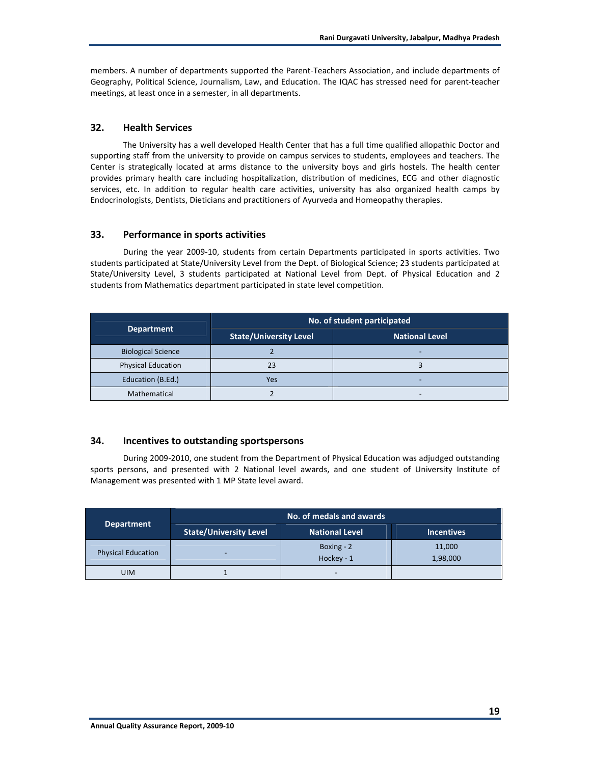members. A number of departments supported the Parent-Teachers Association, and include departments of Geography, Political Science, Journalism, Law, and Education. The IQAC has stressed need for parent-teacher meetings, at least once in a semester, in all departments.

## **32. Health Services**

The University has a well developed Health Center that has a full time qualified allopathic Doctor and supporting staff from the university to provide on campus services to students, employees and teachers. The Center is strategically located at arms distance to the university boys and girls hostels. The health center provides primary health care including hospitalization, distribution of medicines, ECG and other diagnostic services, etc. In addition to regular health care activities, university has also organized health camps by Endocrinologists, Dentists, Dieticians and practitioners of Ayurveda and Homeopathy therapies.

## **33. Performance in sports activities**

During the year 2009-10, students from certain Departments participated in sports activities. Two students participated at State/University Level from the Dept. of Biological Science; 23 students participated at State/University Level, 3 students participated at National Level from Dept. of Physical Education and 2 students from Mathematics department participated in state level competition.

|                           | No. of student participated   |                       |  |  |
|---------------------------|-------------------------------|-----------------------|--|--|
| <b>Department</b>         | <b>State/University Level</b> | <b>National Level</b> |  |  |
| <b>Biological Science</b> |                               |                       |  |  |
| <b>Physical Education</b> | 23                            |                       |  |  |
| Education (B.Ed.)         | Yes                           |                       |  |  |
| Mathematical              |                               |                       |  |  |

## **34. Incentives to outstanding sportspersons**

During 2009-2010, one student from the Department of Physical Education was adjudged outstanding sports persons, and presented with 2 National level awards, and one student of University Institute of Management was presented with 1 MP State level award.

| <b>Department</b>         | No. of medals and awards      |                          |                    |
|---------------------------|-------------------------------|--------------------------|--------------------|
|                           | <b>State/University Level</b> | <b>National Level</b>    | <b>Incentives</b>  |
| <b>Physical Education</b> |                               | Boxing - 2<br>Hockey - 1 | 11,000<br>1,98,000 |
| <b>UIM</b>                |                               |                          |                    |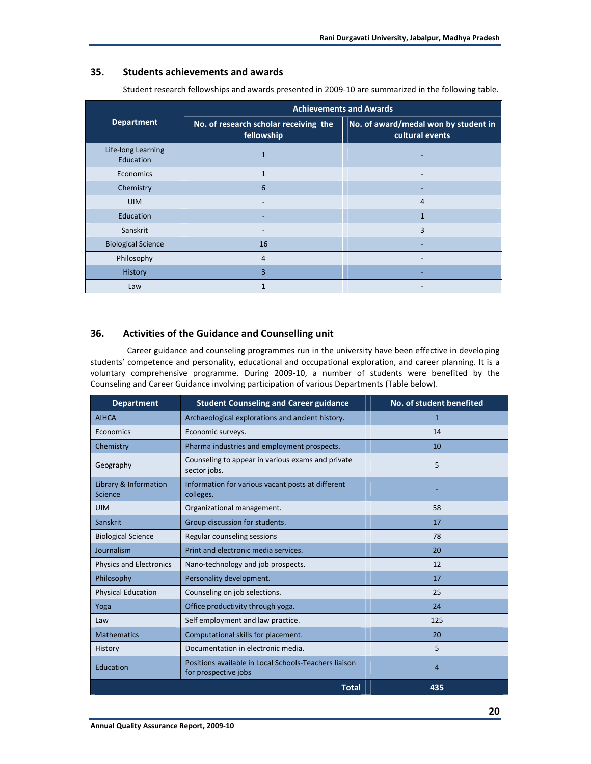## **35. Students achievements and awards**

|                                        | <b>Achievements and Awards</b>                      |                                                         |  |
|----------------------------------------|-----------------------------------------------------|---------------------------------------------------------|--|
| <b>Department</b>                      | No. of research scholar receiving the<br>fellowship | No. of award/medal won by student in<br>cultural events |  |
| Life-long Learning<br><b>Education</b> | $\mathbf{1}$                                        |                                                         |  |
| Economics                              | $\mathbf{1}$                                        |                                                         |  |
| Chemistry                              | 6                                                   |                                                         |  |
| <b>UIM</b>                             |                                                     | 4                                                       |  |
| <b>Education</b>                       |                                                     | $\mathbf{1}$                                            |  |
| Sanskrit                               |                                                     | 3                                                       |  |
| <b>Biological Science</b>              | 16                                                  | $\overline{\phantom{0}}$                                |  |
| Philosophy                             | 4                                                   |                                                         |  |
| History                                | 3                                                   |                                                         |  |
| Law                                    | 1                                                   |                                                         |  |

Student research fellowships and awards presented in 2009-10 are summarized in the following table.

## **36. Activities of the Guidance and Counselling unit**

 Career guidance and counseling programmes run in the university have been effective in developing students' competence and personality, educational and occupational exploration, and career planning. It is a voluntary comprehensive programme. During 2009-10, a number of students were benefited by the Counseling and Career Guidance involving participation of various Departments (Table below).

| <b>Department</b>                | <b>Student Counseling and Career guidance</b>                                 | No. of student benefited |
|----------------------------------|-------------------------------------------------------------------------------|--------------------------|
| <b>AIHCA</b>                     | Archaeological explorations and ancient history.                              | 1                        |
| Economics                        | Economic surveys.                                                             | 14                       |
| Chemistry                        | Pharma industries and employment prospects.                                   | 10                       |
| Geography                        | Counseling to appear in various exams and private<br>sector jobs.             | 5                        |
| Library & Information<br>Science | Information for various vacant posts at different<br>colleges.                |                          |
| <b>UIM</b>                       | Organizational management.                                                    | 58                       |
| Sanskrit                         | Group discussion for students.                                                | 17                       |
| <b>Biological Science</b>        | Regular counseling sessions                                                   | 78                       |
| Journalism                       | Print and electronic media services.                                          | 20                       |
| Physics and Electronics          | Nano-technology and job prospects.                                            | 12                       |
| Philosophy                       | Personality development.                                                      | 17                       |
| <b>Physical Education</b>        | Counseling on job selections.                                                 | 25                       |
| Yoga                             | Office productivity through yoga.                                             | 24                       |
| Law                              | Self employment and law practice.                                             | 125                      |
| <b>Mathematics</b>               | Computational skills for placement.                                           | 20                       |
| History                          | Documentation in electronic media.                                            | 5                        |
| Education                        | Positions available in Local Schools-Teachers liaison<br>for prospective jobs | 4                        |
|                                  | <b>Total</b>                                                                  | 435                      |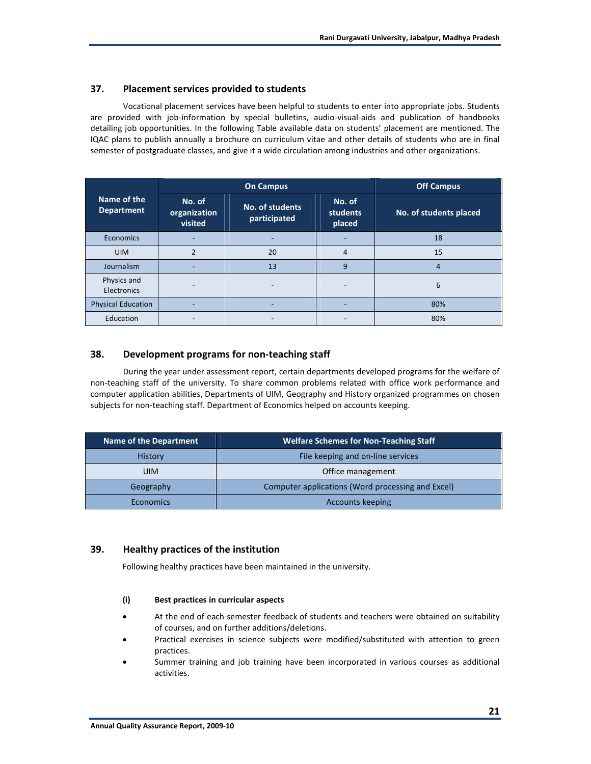## **37. Placement services provided to students**

Vocational placement services have been helpful to students to enter into appropriate jobs. Students are provided with job-information by special bulletins, audio-visual-aids and publication of handbooks detailing job opportunities. In the following Table available data on students' placement are mentioned. The IQAC plans to publish annually a brochure on curriculum vitae and other details of students who are in final semester of postgraduate classes, and give it a wide circulation among industries and other organizations.

|                                  | <b>On Campus</b>                  |                                 | <b>Off Campus</b>            |                        |
|----------------------------------|-----------------------------------|---------------------------------|------------------------------|------------------------|
| Name of the<br><b>Department</b> | No. of<br>organization<br>visited | No. of students<br>participated | No. of<br>students<br>placed | No. of students placed |
| Economics                        |                                   |                                 |                              | 18                     |
| <b>UIM</b>                       | $\mathfrak z$                     | 20                              | 4                            | 15                     |
| Journalism                       |                                   | 13                              | 9                            | $\overline{4}$         |
| Physics and<br>Electronics       |                                   |                                 |                              | 6                      |
| <b>Physical Education</b>        |                                   |                                 |                              | 80%                    |
| Education                        |                                   |                                 |                              | 80%                    |

## **38. Development programs for non-teaching staff**

During the year under assessment report, certain departments developed programs for the welfare of non-teaching staff of the university. To share common problems related with office work performance and computer application abilities, Departments of UIM, Geography and History organized programmes on chosen subjects for non-teaching staff. Department of Economics helped on accounts keeping.

| <b>Name of the Department</b> | <b>Welfare Schemes for Non-Teaching Staff</b>     |
|-------------------------------|---------------------------------------------------|
| <b>History</b>                | File keeping and on-line services                 |
| <b>UIM</b>                    | Office management                                 |
| Geography                     | Computer applications (Word processing and Excel) |
| <b>Economics</b>              | <b>Accounts keeping</b>                           |

## **39. Healthy practices of the institution**

Following healthy practices have been maintained in the university.

#### **(i) Best practices in curricular aspects**

- At the end of each semester feedback of students and teachers were obtained on suitability of courses, and on further additions/deletions.
- Practical exercises in science subjects were modified/substituted with attention to green practices.
- Summer training and job training have been incorporated in various courses as additional activities.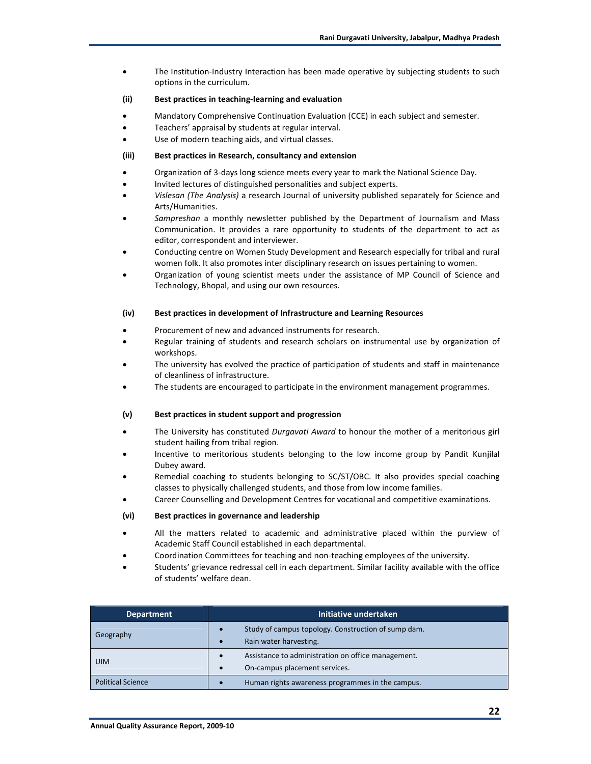• The Institution-Industry Interaction has been made operative by subjecting students to such options in the curriculum.

#### **(ii) Best practices in teaching-learning and evaluation**

- Mandatory Comprehensive Continuation Evaluation (CCE) in each subject and semester.
- Teachers' appraisal by students at regular interval.
- Use of modern teaching aids, and virtual classes.

#### **(iii) Best practices in Research, consultancy and extension**

- Organization of 3-days long science meets every year to mark the National Science Day.
- Invited lectures of distinguished personalities and subject experts.
- *Vislesan (The Analysis)* a research Journal of university published separately for Science and Arts/Humanities.
- *Sampreshan* a monthly newsletter published by the Department of Journalism and Mass Communication. It provides a rare opportunity to students of the department to act as editor, correspondent and interviewer.
- Conducting centre on Women Study Development and Research especially for tribal and rural women folk. It also promotes inter disciplinary research on issues pertaining to women.
- Organization of young scientist meets under the assistance of MP Council of Science and Technology, Bhopal, and using our own resources.

#### **(iv) Best practices in development of Infrastructure and Learning Resources**

- Procurement of new and advanced instruments for research.
- Regular training of students and research scholars on instrumental use by organization of workshops.
- The university has evolved the practice of participation of students and staff in maintenance of cleanliness of infrastructure.
- The students are encouraged to participate in the environment management programmes.

#### **(v) Best practices in student support and progression**

- The University has constituted *Durgavati Award* to honour the mother of a meritorious girl student hailing from tribal region.
- Incentive to meritorious students belonging to the low income group by Pandit Kunjilal Dubey award.
- Remedial coaching to students belonging to SC/ST/OBC. It also provides special coaching classes to physically challenged students, and those from low income families.
- Career Counselling and Development Centres for vocational and competitive examinations.

#### **(vi) Best practices in governance and leadership**

- All the matters related to academic and administrative placed within the purview of Academic Staff Council established in each departmental.
- Coordination Committees for teaching and non-teaching employees of the university.
- Students' grievance redressal cell in each department. Similar facility available with the office of students' welfare dean.

| <b>Department</b>        | Initiative undertaken                                                         |  |
|--------------------------|-------------------------------------------------------------------------------|--|
| Geography                | Study of campus topology. Construction of sump dam.<br>Rain water harvesting. |  |
| <b>UIM</b>               | Assistance to administration on office management.                            |  |
|                          | On-campus placement services.                                                 |  |
| <b>Political Science</b> | Human rights awareness programmes in the campus.                              |  |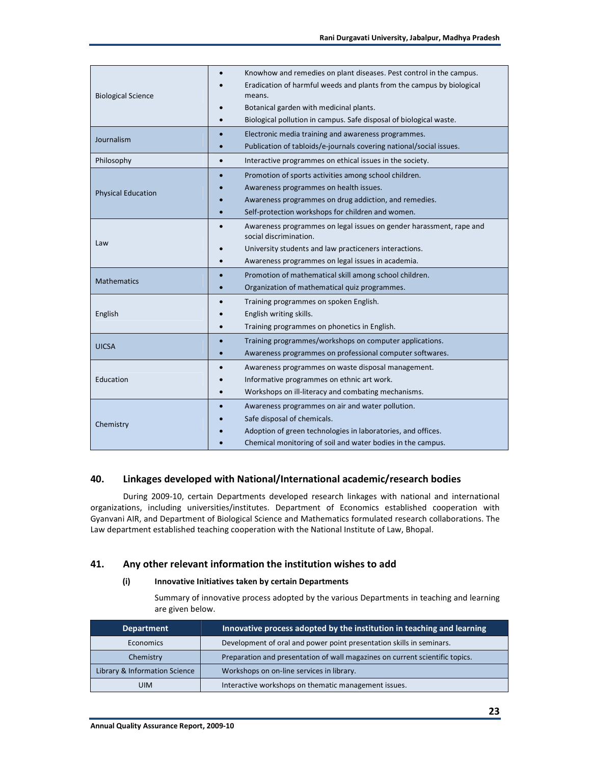| <b>Biological Science</b> | Knowhow and remedies on plant diseases. Pest control in the campus.                           |  |  |
|---------------------------|-----------------------------------------------------------------------------------------------|--|--|
|                           | Eradication of harmful weeds and plants from the campus by biological<br>means.               |  |  |
|                           | Botanical garden with medicinal plants.                                                       |  |  |
|                           | Biological pollution in campus. Safe disposal of biological waste.                            |  |  |
|                           | Electronic media training and awareness programmes.                                           |  |  |
| Journalism                | Publication of tabloids/e-journals covering national/social issues.                           |  |  |
| Philosophy                | Interactive programmes on ethical issues in the society.<br>$\bullet$                         |  |  |
|                           | Promotion of sports activities among school children.                                         |  |  |
| <b>Physical Education</b> | Awareness programmes on health issues.                                                        |  |  |
|                           | Awareness programmes on drug addiction, and remedies.                                         |  |  |
|                           | Self-protection workshops for children and women.                                             |  |  |
|                           | Awareness programmes on legal issues on gender harassment, rape and<br>social discrimination. |  |  |
| Law                       | University students and law practiceners interactions.                                        |  |  |
|                           | Awareness programmes on legal issues in academia.                                             |  |  |
| <b>Mathematics</b>        | Promotion of mathematical skill among school children.                                        |  |  |
|                           | Organization of mathematical quiz programmes.                                                 |  |  |
|                           | Training programmes on spoken English.                                                        |  |  |
| English                   | English writing skills.                                                                       |  |  |
|                           | Training programmes on phonetics in English.                                                  |  |  |
| <b>UICSA</b>              | Training programmes/workshops on computer applications.                                       |  |  |
|                           | Awareness programmes on professional computer softwares.                                      |  |  |
|                           | Awareness programmes on waste disposal management.<br>$\bullet$                               |  |  |
| Education                 | Informative programmes on ethnic art work.                                                    |  |  |
|                           | Workshops on ill-literacy and combating mechanisms.                                           |  |  |
|                           | Awareness programmes on air and water pollution.                                              |  |  |
|                           | Safe disposal of chemicals.                                                                   |  |  |
| Chemistry                 | Adoption of green technologies in laboratories, and offices.                                  |  |  |
|                           | Chemical monitoring of soil and water bodies in the campus.                                   |  |  |

## **40. Linkages developed with National/International academic/research bodies**

During 2009-10, certain Departments developed research linkages with national and international organizations, including universities/institutes. Department of Economics established cooperation with Gyanvani AIR, and Department of Biological Science and Mathematics formulated research collaborations. The Law department established teaching cooperation with the National Institute of Law, Bhopal.

## **41. Any other relevant information the institution wishes to add**

#### **(i) Innovative Initiatives taken by certain Departments**

 Summary of innovative process adopted by the various Departments in teaching and learning are given below.

| <b>Department</b>             | Innovative process adopted by the institution in teaching and learning       |
|-------------------------------|------------------------------------------------------------------------------|
| Economics                     | Development of oral and power point presentation skills in seminars.         |
| Chemistry                     | Preparation and presentation of wall magazines on current scientific topics. |
| Library & Information Science | Workshops on on-line services in library.                                    |
| <b>UIM</b>                    | Interactive workshops on thematic management issues.                         |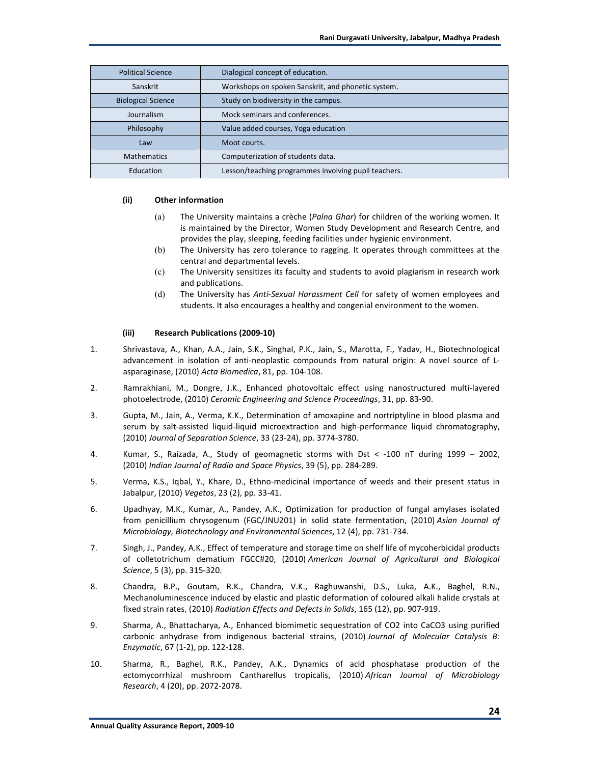| <b>Political Science</b>  | Dialogical concept of education.                     |
|---------------------------|------------------------------------------------------|
| Sanskrit                  | Workshops on spoken Sanskrit, and phonetic system.   |
| <b>Biological Science</b> | Study on biodiversity in the campus.                 |
| Journalism                | Mock seminars and conferences.                       |
| Philosophy                | Value added courses, Yoga education                  |
| Law                       | Moot courts.                                         |
| <b>Mathematics</b>        | Computerization of students data.                    |
| Education                 | Lesson/teaching programmes involving pupil teachers. |

#### **(ii) Other information**

- (a) The University maintains a crèche (*Palna Ghar*) for children of the working women. It is maintained by the Director, Women Study Development and Research Centre, and provides the play, sleeping, feeding facilities under hygienic environment.
- (b) The University has zero tolerance to ragging. It operates through committees at the central and departmental levels.
- (c) The University sensitizes its faculty and students to avoid plagiarism in research work and publications.
- (d) The University has *Anti-Sexual Harassment Cell* for safety of women employees and students. It also encourages a healthy and congenial environment to the women.

#### **(iii) Research Publications (2009-10)**

- 1. Shrivastava, A., Khan, A.A., Jain, S.K., Singhal, P.K., Jain, S., Marotta, F., Yadav, H., Biotechnological advancement in isolation of anti-neoplastic compounds from natural origin: A novel source of Lasparaginase, (2010) *Acta Biomedica*, 81, pp. 104-108.
- 2. Ramrakhiani, M., Dongre, J.K., Enhanced photovoltaic effect using nanostructured multi-layered photoelectrode, (2010) *Ceramic Engineering and Science Proceedings*, 31, pp. 83-90.
- 3. Gupta, M., Jain, A., Verma, K.K., Determination of amoxapine and nortriptyline in blood plasma and serum by salt-assisted liquid-liquid microextraction and high-performance liquid chromatography, (2010) *Journal of Separation Science*, 33 (23-24), pp. 3774-3780.
- 4. Kumar, S., Raizada, A., Study of geomagnetic storms with Dst < -100 nT during 1999 2002, (2010) *Indian Journal of Radio and Space Physics*, 39 (5), pp. 284-289.
- 5. Verma, K.S., Iqbal, Y., Khare, D., Ethno-medicinal importance of weeds and their present status in Jabalpur, (2010) *Vegetos*, 23 (2), pp. 33-41.
- 6. Upadhyay, M.K., Kumar, A., Pandey, A.K., Optimization for production of fungal amylases isolated from penicillium chrysogenum (FGC/JNU201) in solid state fermentation, (2010) *Asian Journal of Microbiology, Biotechnology and Environmental Sciences*, 12 (4), pp. 731-734.
- 7. Singh, J., Pandey, A.K., Effect of temperature and storage time on shelf life of mycoherbicidal products of colletotrichum dematium FGCC#20, (2010) *American Journal of Agricultural and Biological Science*, 5 (3), pp. 315-320.
- 8. Chandra, B.P., Goutam, R.K., Chandra, V.K., Raghuwanshi, D.S., Luka, A.K., Baghel, R.N., Mechanoluminescence induced by elastic and plastic deformation of coloured alkali halide crystals at fixed strain rates, (2010) *Radiation Effects and Defects in Solids*, 165 (12), pp. 907-919.
- 9. Sharma, A., Bhattacharya, A., Enhanced biomimetic sequestration of CO2 into CaCO3 using purified carbonic anhydrase from indigenous bacterial strains, (2010) *Journal of Molecular Catalysis B: Enzymatic*, 67 (1-2), pp. 122-128.
- 10. Sharma, R., Baghel, R.K., Pandey, A.K., Dynamics of acid phosphatase production of the ectomycorrhizal mushroom Cantharellus tropicalis, (2010) *African Journal of Microbiology Research*, 4 (20), pp. 2072-2078.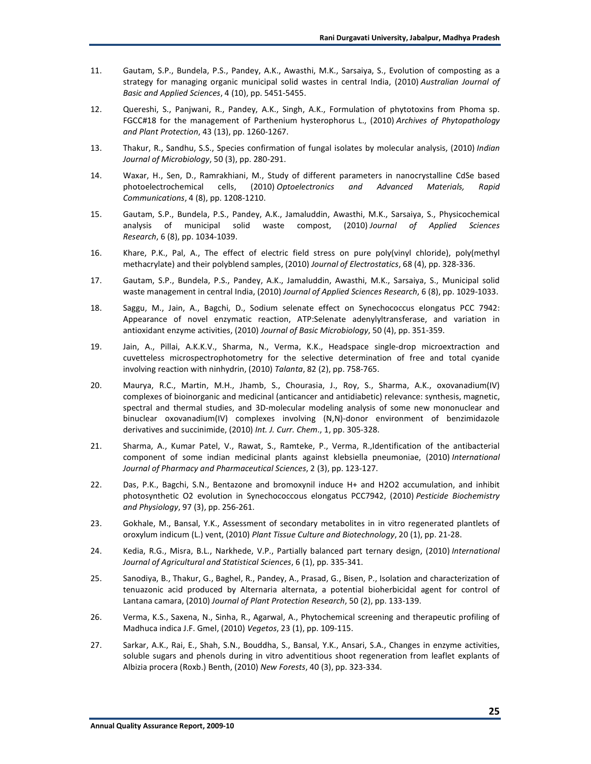- 11. Gautam, S.P., Bundela, P.S., Pandey, A.K., Awasthi, M.K., Sarsaiya, S., Evolution of composting as a strategy for managing organic municipal solid wastes in central India, (2010) *Australian Journal of Basic and Applied Sciences*, 4 (10), pp. 5451-5455.
- 12. Quereshi, S., Panjwani, R., Pandey, A.K., Singh, A.K., Formulation of phytotoxins from Phoma sp. FGCC#18 for the management of Parthenium hysterophorus L., (2010) *Archives of Phytopathology and Plant Protection*, 43 (13), pp. 1260-1267.
- 13. Thakur, R., Sandhu, S.S., Species confirmation of fungal isolates by molecular analysis, (2010) *Indian Journal of Microbiology*, 50 (3), pp. 280-291.
- 14. Waxar, H., Sen, D., Ramrakhiani, M., Study of different parameters in nanocrystalline CdSe based photoelectrochemical cells, (2010) *Optoelectronics and Advanced Materials, Rapid Communications*, 4 (8), pp. 1208-1210.
- 15. Gautam, S.P., Bundela, P.S., Pandey, A.K., Jamaluddin, Awasthi, M.K., Sarsaiya, S., Physicochemical analysis of municipal solid waste compost, (2010) *Journal of Applied Sciences Research*, 6 (8), pp. 1034-1039.
- 16. Khare, P.K., Pal, A., The effect of electric field stress on pure poly(vinyl chloride), poly(methyl methacrylate) and their polyblend samples, (2010) *Journal of Electrostatics*, 68 (4), pp. 328-336.
- 17. Gautam, S.P., Bundela, P.S., Pandey, A.K., Jamaluddin, Awasthi, M.K., Sarsaiya, S., Municipal solid waste management in central India, (2010) *Journal of Applied Sciences Research*, 6 (8), pp. 1029-1033.
- 18. Saggu, M., Jain, A., Bagchi, D., Sodium selenate effect on Synechococcus elongatus PCC 7942: Appearance of novel enzymatic reaction, ATP:Selenate adenylyltransferase, and variation in antioxidant enzyme activities, (2010) *Journal of Basic Microbiology*, 50 (4), pp. 351-359.
- 19. Jain, A., Pillai, A.K.K.V., Sharma, N., Verma, K.K., Headspace single-drop microextraction and cuvetteless microspectrophotometry for the selective determination of free and total cyanide involving reaction with ninhydrin, (2010) *Talanta*, 82 (2), pp. 758-765.
- 20. Maurya, R.C., Martin, M.H., Jhamb, S., Chourasia, J., Roy, S., Sharma, A.K., oxovanadium(IV) complexes of bioinorganic and medicinal (anticancer and antidiabetic) relevance: synthesis, magnetic, spectral and thermal studies, and 3D-molecular modeling analysis of some new mononuclear and binuclear oxovanadium(IV) complexes involving (N,N)-donor environment of benzimidazole derivatives and succinimide, (2010) *Int. J. Curr. Chem*., 1, pp. 305-328.
- 21. Sharma, A., Kumar Patel, V., Rawat, S., Ramteke, P., Verma, R.,Identification of the antibacterial component of some indian medicinal plants against klebsiella pneumoniae, (2010) *International Journal of Pharmacy and Pharmaceutical Sciences*, 2 (3), pp. 123-127.
- 22. Das, P.K., Bagchi, S.N., Bentazone and bromoxynil induce H+ and H2O2 accumulation, and inhibit photosynthetic O2 evolution in Synechococcous elongatus PCC7942, (2010) *Pesticide Biochemistry and Physiology*, 97 (3), pp. 256-261.
- 23. Gokhale, M., Bansal, Y.K., Assessment of secondary metabolites in in vitro regenerated plantlets of oroxylum indicum (L.) vent, (2010) *Plant Tissue Culture and Biotechnology*, 20 (1), pp. 21-28.
- 24. Kedia, R.G., Misra, B.L., Narkhede, V.P., Partially balanced part ternary design, (2010) *International Journal of Agricultural and Statistical Sciences*, 6 (1), pp. 335-341.
- 25. Sanodiya, B., Thakur, G., Baghel, R., Pandey, A., Prasad, G., Bisen, P., Isolation and characterization of tenuazonic acid produced by Alternaria alternata, a potential bioherbicidal agent for control of Lantana camara, (2010) *Journal of Plant Protection Research*, 50 (2), pp. 133-139.
- 26. Verma, K.S., Saxena, N., Sinha, R., Agarwal, A., Phytochemical screening and therapeutic profiling of Madhuca indica J.F. Gmel, (2010) *Vegetos*, 23 (1), pp. 109-115.
- 27. Sarkar, A.K., Rai, E., Shah, S.N., Bouddha, S., Bansal, Y.K., Ansari, S.A., Changes in enzyme activities, soluble sugars and phenols during in vitro adventitious shoot regeneration from leaflet explants of Albizia procera (Roxb.) Benth, (2010) *New Forests*, 40 (3), pp. 323-334.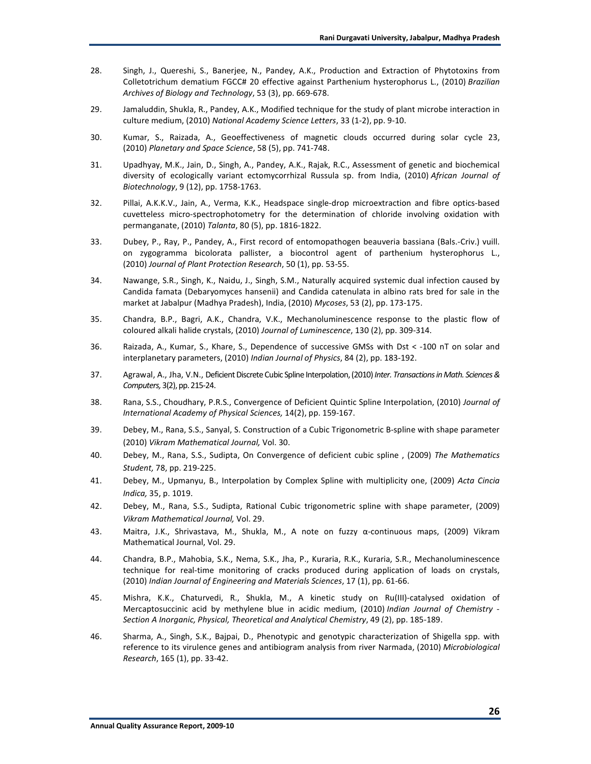- 28. Singh, J., Quereshi, S., Banerjee, N., Pandey, A.K., Production and Extraction of Phytotoxins from Colletotrichum dematium FGCC# 20 effective against Parthenium hysterophorus L., (2010) *Brazilian Archives of Biology and Technology*, 53 (3), pp. 669-678.
- 29. Jamaluddin, Shukla, R., Pandey, A.K., Modified technique for the study of plant microbe interaction in culture medium, (2010) *National Academy Science Letters*, 33 (1-2), pp. 9-10.
- 30. Kumar, S., Raizada, A., Geoeffectiveness of magnetic clouds occurred during solar cycle 23, (2010) *Planetary and Space Science*, 58 (5), pp. 741-748.
- 31. Upadhyay, M.K., Jain, D., Singh, A., Pandey, A.K., Rajak, R.C., Assessment of genetic and biochemical diversity of ecologically variant ectomycorrhizal Russula sp. from India, (2010) *African Journal of Biotechnology*, 9 (12), pp. 1758-1763.
- 32. Pillai, A.K.K.V., Jain, A., Verma, K.K., Headspace single-drop microextraction and fibre optics-based cuvetteless micro-spectrophotometry for the determination of chloride involving oxidation with permanganate, (2010) *Talanta*, 80 (5), pp. 1816-1822.
- 33. Dubey, P., Ray, P., Pandey, A., First record of entomopathogen beauveria bassiana (Bals.-Criv.) vuill. on zygogramma bicolorata pallister, a biocontrol agent of parthenium hysterophorus L., (2010) *Journal of Plant Protection Research*, 50 (1), pp. 53-55.
- 34. Nawange, S.R., Singh, K., Naidu, J., Singh, S.M., Naturally acquired systemic dual infection caused by Candida famata (Debaryomyces hansenii) and Candida catenulata in albino rats bred for sale in the market at Jabalpur (Madhya Pradesh), India, (2010) *Mycoses*, 53 (2), pp. 173-175.
- 35. Chandra, B.P., Bagri, A.K., Chandra, V.K., Mechanoluminescence response to the plastic flow of coloured alkali halide crystals, (2010) *Journal of Luminescence*, 130 (2), pp. 309-314.
- 36. Raizada, A., Kumar, S., Khare, S., Dependence of successive GMSs with Dst < -100 nT on solar and interplanetary parameters, (2010) *Indian Journal of Physics*, 84 (2), pp. 183-192.
- 37. Agrawal, A., Jha, V.N., Deficient Discrete Cubic Spline Interpolation, (2010) *Inter. Transactions in Math. Sciences & Computers,* 3(2), pp. 215-24.
- 38. Rana, S.S., Choudhary, P.R.S., Convergence of Deficient Quintic Spline Interpolation, (2010) *Journal of International Academy of Physical Sciences,* 14(2), pp. 159-167.
- 39. Debey, M., Rana, S.S., Sanyal, S. Construction of a Cubic Trigonometric B-spline with shape parameter (2010) *Vikram Mathematical Journal,* Vol. 30.
- 40. Debey, M., Rana, S.S., Sudipta, On Convergence of deficient cubic spline , (2009) *The Mathematics Student,* 78, pp. 219-225.
- 41. Debey, M., Upmanyu, B., Interpolation by Complex Spline with multiplicity one, (2009) *Acta Cincia Indica,* 35, p. 1019.
- 42. Debey, M., Rana, S.S., Sudipta, Rational Cubic trigonometric spline with shape parameter, (2009) *Vikram Mathematical Journal,* Vol. 29.
- 43. Maitra, J.K., Shrivastava, M., Shukla, M., A note on fuzzy α-continuous maps, (2009) Vikram Mathematical Journal, Vol. 29.
- 44. Chandra, B.P., Mahobia, S.K., Nema, S.K., Jha, P., Kuraria, R.K., Kuraria, S.R., Mechanoluminescence technique for real-time monitoring of cracks produced during application of loads on crystals, (2010) *Indian Journal of Engineering and Materials Sciences*, 17 (1), pp. 61-66.
- 45. Mishra, K.K., Chaturvedi, R., Shukla, M., A kinetic study on Ru(III)-catalysed oxidation of Mercaptosuccinic acid by methylene blue in acidic medium, (2010) *Indian Journal of Chemistry - Section A Inorganic, Physical, Theoretical and Analytical Chemistry*, 49 (2), pp. 185-189.
- 46. Sharma, A., Singh, S.K., Bajpai, D., Phenotypic and genotypic characterization of Shigella spp. with reference to its virulence genes and antibiogram analysis from river Narmada, (2010) *Microbiological Research*, 165 (1), pp. 33-42.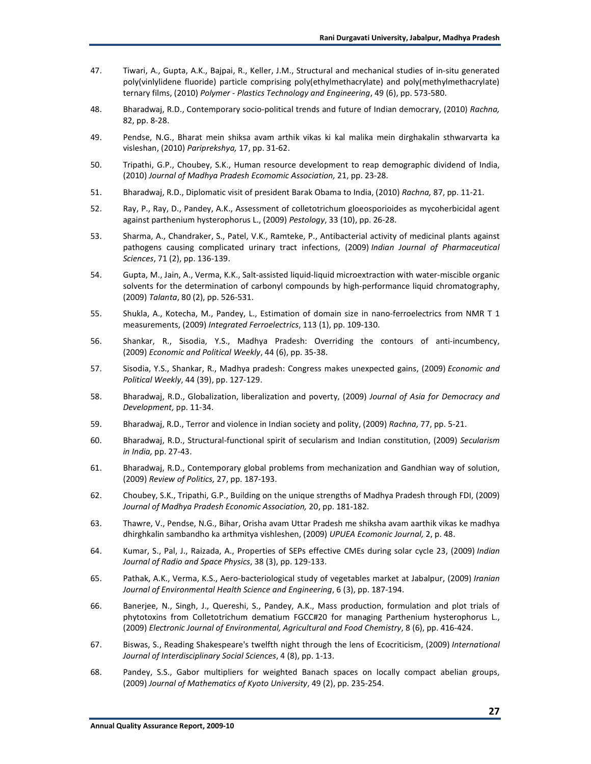- 47. Tiwari, A., Gupta, A.K., Bajpai, R., Keller, J.M., Structural and mechanical studies of in-situ generated poly(vinlylidene fluoride) particle comprising poly(ethylmethacrylate) and poly(methylmethacrylate) ternary films, (2010) *Polymer - Plastics Technology and Engineering*, 49 (6), pp. 573-580.
- 48. Bharadwaj, R.D., Contemporary socio-political trends and future of Indian democrary, (2010) *Rachna,* 82, pp. 8-28.
- 49. Pendse, N.G., Bharat mein shiksa avam arthik vikas ki kal malika mein dirghakalin sthwarvarta ka visleshan, (2010) *Pariprekshya,* 17, pp. 31-62.
- 50. Tripathi, G.P., Choubey, S.K., Human resource development to reap demographic dividend of India, (2010) *Journal of Madhya Pradesh Ecomomic Association,* 21, pp. 23-28.
- 51. Bharadwaj, R.D., Diplomatic visit of president Barak Obama to India, (2010) *Rachna,* 87, pp. 11-21.
- 52. Ray, P., Ray, D., Pandey, A.K., Assessment of colletotrichum gloeosporioides as mycoherbicidal agent against parthenium hysterophorus L., (2009) *Pestology*, 33 (10), pp. 26-28.
- 53. Sharma, A., Chandraker, S., Patel, V.K., Ramteke, P., Antibacterial activity of medicinal plants against pathogens causing complicated urinary tract infections, (2009) *Indian Journal of Pharmaceutical Sciences*, 71 (2), pp. 136-139.
- 54. Gupta, M., Jain, A., Verma, K.K., Salt-assisted liquid-liquid microextraction with water-miscible organic solvents for the determination of carbonyl compounds by high-performance liquid chromatography, (2009) *Talanta*, 80 (2), pp. 526-531.
- 55. Shukla, A., Kotecha, M., Pandey, L., Estimation of domain size in nano-ferroelectrics from NMR T 1 measurements, (2009) *Integrated Ferroelectrics*, 113 (1), pp. 109-130.
- 56. Shankar, R., Sisodia, Y.S., Madhya Pradesh: Overriding the contours of anti-incumbency, (2009) *Economic and Political Weekly*, 44 (6), pp. 35-38.
- 57. Sisodia, Y.S., Shankar, R., Madhya pradesh: Congress makes unexpected gains, (2009) *Economic and Political Weekly*, 44 (39), pp. 127-129.
- 58. Bharadwaj, R.D., Globalization, liberalization and poverty, (2009) *Journal of Asia for Democracy and Development,* pp. 11-34.
- 59. Bharadwaj, R.D., Terror and violence in Indian society and polity, (2009) *Rachna,* 77, pp. 5-21.
- 60. Bharadwaj, R.D., Structural-functional spirit of secularism and Indian constitution, (2009) *Secularism in India,* pp. 27-43.
- 61. Bharadwaj, R.D., Contemporary global problems from mechanization and Gandhian way of solution, (2009) *Review of Politics,* 27, pp. 187-193.
- 62. Choubey, S.K., Tripathi, G.P., Building on the unique strengths of Madhya Pradesh through FDI, (2009) *Journal of Madhya Pradesh Economic Association,* 20, pp. 181-182.
- 63. Thawre, V., Pendse, N.G., Bihar, Orisha avam Uttar Pradesh me shiksha avam aarthik vikas ke madhya dhirghkalin sambandho ka arthmitya vishleshen, (2009) *UPUEA Ecomonic Journal,* 2, p. 48.
- 64. Kumar, S., Pal, J., Raizada, A., Properties of SEPs effective CMEs during solar cycle 23, (2009) *Indian Journal of Radio and Space Physics*, 38 (3), pp. 129-133.
- 65. Pathak, A.K., Verma, K.S., Aero-bacteriological study of vegetables market at Jabalpur, (2009) *Iranian Journal of Environmental Health Science and Engineering*, 6 (3), pp. 187-194.
- 66. Banerjee, N., Singh, J., Quereshi, S., Pandey, A.K., Mass production, formulation and plot trials of phytotoxins from Colletotrichum dematium FGCC#20 for managing Parthenium hysterophorus L., (2009) *Electronic Journal of Environmental, Agricultural and Food Chemistry*, 8 (6), pp. 416-424.
- 67. Biswas, S., Reading Shakespeare's twelfth night through the lens of Ecocriticism, (2009) *International Journal of Interdisciplinary Social Sciences*, 4 (8), pp. 1-13.
- 68. Pandey, S.S., Gabor multipliers for weighted Banach spaces on locally compact abelian groups, (2009) *Journal of Mathematics of Kyoto University*, 49 (2), pp. 235-254.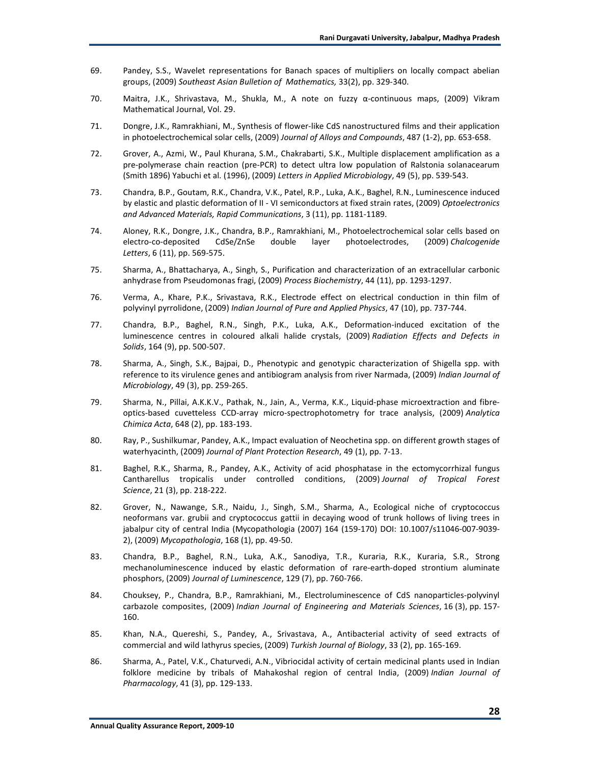- 69. Pandey, S.S., Wavelet representations for Banach spaces of multipliers on locally compact abelian groups, (2009) *Southeast Asian Bulletion of Mathematics,* 33(2), pp. 329-340.
- 70. Maitra, J.K., Shrivastava, M., Shukla, M., A note on fuzzy α-continuous maps, (2009) Vikram Mathematical Journal, Vol. 29.
- 71. Dongre, J.K., Ramrakhiani, M., Synthesis of flower-like CdS nanostructured films and their application in photoelectrochemical solar cells, (2009) *Journal of Alloys and Compounds*, 487 (1-2), pp. 653-658.
- 72. Grover, A., Azmi, W., Paul Khurana, S.M., Chakrabarti, S.K., Multiple displacement amplification as a pre-polymerase chain reaction (pre-PCR) to detect ultra low population of Ralstonia solanacearum (Smith 1896) Yabuchi et al. (1996), (2009) *Letters in Applied Microbiology*, 49 (5), pp. 539-543.
- 73. Chandra, B.P., Goutam, R.K., Chandra, V.K., Patel, R.P., Luka, A.K., Baghel, R.N., Luminescence induced by elastic and plastic deformation of II - VI semiconductors at fixed strain rates, (2009) *Optoelectronics and Advanced Materials, Rapid Communications*, 3 (11), pp. 1181-1189.
- 74. Aloney, R.K., Dongre, J.K., Chandra, B.P., Ramrakhiani, M., Photoelectrochemical solar cells based on electro-co-deposited CdSe/ZnSe double layer photoelectrodes, (2009) *Chalcogenide Letters*, 6 (11), pp. 569-575.
- 75. Sharma, A., Bhattacharya, A., Singh, S., Purification and characterization of an extracellular carbonic anhydrase from Pseudomonas fragi, (2009) *Process Biochemistry*, 44 (11), pp. 1293-1297.
- 76. Verma, A., Khare, P.K., Srivastava, R.K., Electrode effect on electrical conduction in thin film of polyvinyl pyrrolidone, (2009) *Indian Journal of Pure and Applied Physics*, 47 (10), pp. 737-744.
- 77. Chandra, B.P., Baghel, R.N., Singh, P.K., Luka, A.K., Deformation-induced excitation of the luminescence centres in coloured alkali halide crystals, (2009) *Radiation Effects and Defects in Solids*, 164 (9), pp. 500-507.
- 78. Sharma, A., Singh, S.K., Bajpai, D., Phenotypic and genotypic characterization of Shigella spp. with reference to its virulence genes and antibiogram analysis from river Narmada, (2009) *Indian Journal of Microbiology*, 49 (3), pp. 259-265.
- 79. Sharma, N., Pillai, A.K.K.V., Pathak, N., Jain, A., Verma, K.K., Liquid-phase microextraction and fibreoptics-based cuvetteless CCD-array micro-spectrophotometry for trace analysis, (2009) *Analytica Chimica Acta*, 648 (2), pp. 183-193.
- 80. Ray, P., Sushilkumar, Pandey, A.K., Impact evaluation of Neochetina spp. on different growth stages of waterhyacinth, (2009) *Journal of Plant Protection Research*, 49 (1), pp. 7-13.
- 81. Baghel, R.K., Sharma, R., Pandey, A.K., Activity of acid phosphatase in the ectomycorrhizal fungus Cantharellus tropicalis under controlled conditions, (2009) *Journal of Tropical Forest Science*, 21 (3), pp. 218-222.
- 82. Grover, N., Nawange, S.R., Naidu, J., Singh, S.M., Sharma, A., Ecological niche of cryptococcus neoformans var. grubii and cryptococcus gattii in decaying wood of trunk hollows of living trees in jabalpur city of central India (Mycopathologia (2007) 164 (159-170) DOI: 10.1007/s11046-007-9039- 2), (2009) *Mycopathologia*, 168 (1), pp. 49-50.
- 83. Chandra, B.P., Baghel, R.N., Luka, A.K., Sanodiya, T.R., Kuraria, R.K., Kuraria, S.R., Strong mechanoluminescence induced by elastic deformation of rare-earth-doped strontium aluminate phosphors, (2009) *Journal of Luminescence*, 129 (7), pp. 760-766.
- 84. Chouksey, P., Chandra, B.P., Ramrakhiani, M., Electroluminescence of CdS nanoparticles-polyvinyl carbazole composites, (2009) *Indian Journal of Engineering and Materials Sciences*, 16 (3), pp. 157- 160.
- 85. Khan, N.A., Quereshi, S., Pandey, A., Srivastava, A., Antibacterial activity of seed extracts of commercial and wild lathyrus species, (2009) *Turkish Journal of Biology*, 33 (2), pp. 165-169.
- 86. Sharma, A., Patel, V.K., Chaturvedi, A.N., Vibriocidal activity of certain medicinal plants used in Indian folklore medicine by tribals of Mahakoshal region of central India, (2009) *Indian Journal of Pharmacology*, 41 (3), pp. 129-133.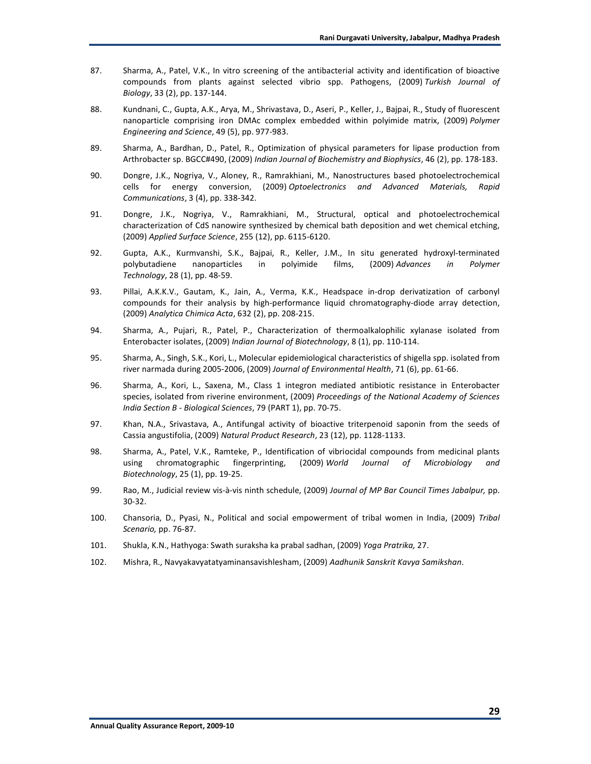- 87. Sharma, A., Patel, V.K., In vitro screening of the antibacterial activity and identification of bioactive compounds from plants against selected vibrio spp. Pathogens, (2009) *Turkish Journal of Biology*, 33 (2), pp. 137-144.
- 88. Kundnani, C., Gupta, A.K., Arya, M., Shrivastava, D., Aseri, P., Keller, J., Bajpai, R., Study of fluorescent nanoparticle comprising iron DMAc complex embedded within polyimide matrix, (2009) *Polymer Engineering and Science*, 49 (5), pp. 977-983.
- 89. Sharma, A., Bardhan, D., Patel, R., Optimization of physical parameters for lipase production from Arthrobacter sp. BGCC#490, (2009) *Indian Journal of Biochemistry and Biophysics*, 46 (2), pp. 178-183.
- 90. Dongre, J.K., Nogriya, V., Aloney, R., Ramrakhiani, M., Nanostructures based photoelectrochemical cells for energy conversion, (2009) *Optoelectronics and Advanced Materials, Rapid Communications*, 3 (4), pp. 338-342.
- 91. Dongre, J.K., Nogriya, V., Ramrakhiani, M., Structural, optical and photoelectrochemical characterization of CdS nanowire synthesized by chemical bath deposition and wet chemical etching, (2009) *Applied Surface Science*, 255 (12), pp. 6115-6120.
- 92. Gupta, A.K., Kurmvanshi, S.K., Bajpai, R., Keller, J.M., In situ generated hydroxyl-terminated polybutadiene nanoparticles in polyimide films, (2009) *Advances in Polymer Technology*, 28 (1), pp. 48-59.
- 93. Pillai, A.K.K.V., Gautam, K., Jain, A., Verma, K.K., Headspace in-drop derivatization of carbonyl compounds for their analysis by high-performance liquid chromatography-diode array detection, (2009) *Analytica Chimica Acta*, 632 (2), pp. 208-215.
- 94. Sharma, A., Pujari, R., Patel, P., Characterization of thermoalkalophilic xylanase isolated from Enterobacter isolates, (2009) *Indian Journal of Biotechnology*, 8 (1), pp. 110-114.
- 95. Sharma, A., Singh, S.K., Kori, L., Molecular epidemiological characteristics of shigella spp. isolated from river narmada during 2005-2006, (2009) *Journal of Environmental Health*, 71 (6), pp. 61-66.
- 96. Sharma, A., Kori, L., Saxena, M., Class 1 integron mediated antibiotic resistance in Enterobacter species, isolated from riverine environment, (2009) *Proceedings of the National Academy of Sciences India Section B - Biological Sciences*, 79 (PART 1), pp. 70-75.
- 97. Khan, N.A., Srivastava, A., Antifungal activity of bioactive triterpenoid saponin from the seeds of Cassia angustifolia, (2009) *Natural Product Research*, 23 (12), pp. 1128-1133.
- 98. Sharma, A., Patel, V.K., Ramteke, P., Identification of vibriocidal compounds from medicinal plants using chromatographic fingerprinting, (2009) *World Journal of Microbiology and Biotechnology*, 25 (1), pp. 19-25.
- 99. Rao, M., Judicial review vis-à-vis ninth schedule, (2009) *Journal of MP Bar Council Times Jabalpur,* pp. 30-32.
- 100. Chansoria, D., Pyasi, N., Political and social empowerment of tribal women in India, (2009) *Tribal Scenario,* pp. 76-87.
- 101. Shukla, K.N., Hathyoga: Swath suraksha ka prabal sadhan, (2009) *Yoga Pratrika,* 27.
- 102. Mishra, R., Navyakavyatatyaminansavishlesham, (2009) *Aadhunik Sanskrit Kavya Samikshan*.